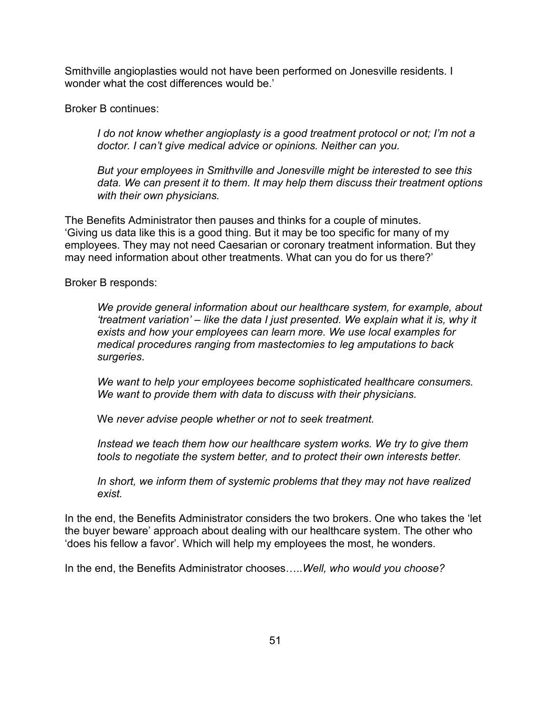Smithville angioplasties would not have been performed on Jonesville residents. I wonder what the cost differences would be.'

Broker B continues:

*I* do not know whether angioplasty is a good treatment protocol or not; I'm not a *doctor. I can't give medical advice or opinions. Neither can you.*

*But your employees in Smithville and Jonesville might be interested to see this data. We can present it to them. It may help them discuss their treatment options with their own physicians.* 

The Benefits Administrator then pauses and thinks for a couple of minutes. 'Giving us data like this is a good thing. But it may be too specific for many of my employees. They may not need Caesarian or coronary treatment information. But they may need information about other treatments. What can you do for us there?'

Broker B responds:

*We provide general information about our healthcare system, for example, about 'treatment variation' – like the data I just presented. We explain what it is, why it exists and how your employees can learn more. We use local examples for medical procedures ranging from mastectomies to leg amputations to back surgeries*.

*We want to help your employees become sophisticated healthcare consumers. We want to provide them with data to discuss with their physicians.*

We *never advise people whether or not to seek treatment.*

*Instead we teach them how our healthcare system works. We try to give them tools to negotiate the system better, and to protect their own interests better.* 

*In short, we inform them of systemic problems that they may not have realized exist.*

In the end, the Benefits Administrator considers the two brokers. One who takes the 'let the buyer beware' approach about dealing with our healthcare system. The other who 'does his fellow a favor'. Which will help my employees the most, he wonders.

In the end, the Benefits Administrator chooses…..*Well, who would you choose?*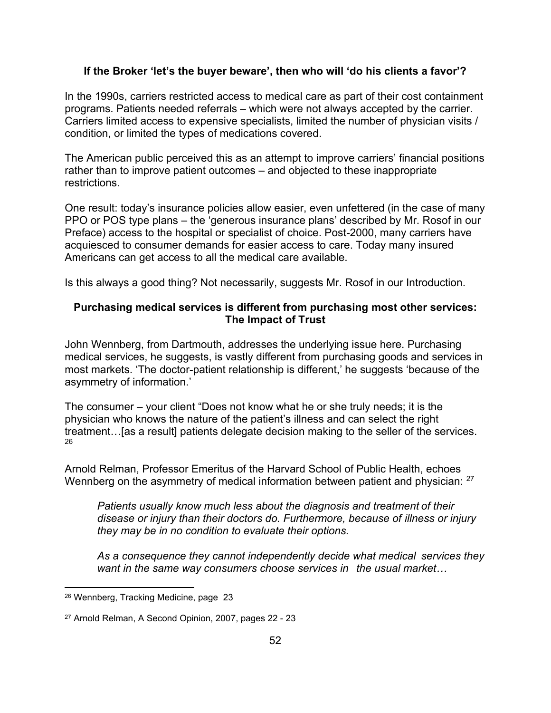#### **If the Broker 'let's the buyer beware', then who will 'do his clients a favor'?**

In the 1990s, carriers restricted access to medical care as part of their cost containment programs. Patients needed referrals – which were not always accepted by the carrier. Carriers limited access to expensive specialists, limited the number of physician visits / condition, or limited the types of medications covered.

The American public perceived this as an attempt to improve carriers' financial positions rather than to improve patient outcomes – and objected to these inappropriate restrictions.

One result: today's insurance policies allow easier, even unfettered (in the case of many PPO or POS type plans – the 'generous insurance plans' described by Mr. Rosof in our Preface) access to the hospital or specialist of choice. Post-2000, many carriers have acquiesced to consumer demands for easier access to care. Today many insured Americans can get access to all the medical care available.

Is this always a good thing? Not necessarily, suggests Mr. Rosof in our Introduction.

### **Purchasing medical services is different from purchasing most other services: The Impact of Trust**

John Wennberg, from Dartmouth, addresses the underlying issue here. Purchasing medical services, he suggests, is vastly different from purchasing goods and services in most markets. 'The doctor-patient relationship is different,' he suggests 'because of the asymmetry of information.'

The consumer – your client "Does not know what he or she truly needs; it is the physician who knows the nature of the patient's illness and can select the right treatment…[as a result] patients delegate decision making to the seller of the services. 26

Arnold Relman, Professor Emeritus of the Harvard School of Public Health, echoes Wennberg on the asymmetry of medical information between patient and physician: <sup>27</sup>

*Patients usually know much less about the diagnosis and treatment of their disease or injury than their doctors do. Furthermore, because of illness or injury they may be in no condition to evaluate their options.*

*As a consequence they cannot independently decide what medical services they want in the same way consumers choose services in the usual market…*

<sup>26</sup> Wennberg, Tracking Medicine, page 23

<sup>27</sup> Arnold Relman, A Second Opinion, 2007, pages 22 - 23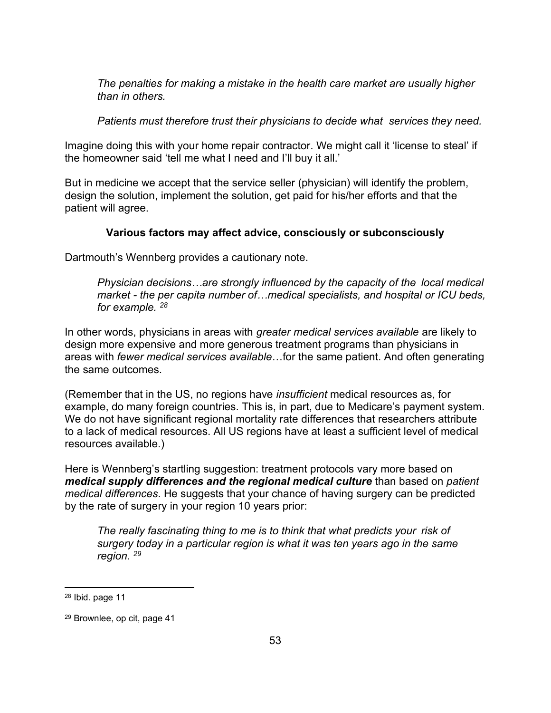*The penalties for making a mistake in the health care market are usually higher than in others.*

*Patients must therefore trust their physicians to decide what services they need.*

Imagine doing this with your home repair contractor. We might call it 'license to steal' if the homeowner said 'tell me what I need and I'll buy it all.'

But in medicine we accept that the service seller (physician) will identify the problem, design the solution, implement the solution, get paid for his/her efforts and that the patient will agree.

## **Various factors may affect advice, consciously or subconsciously**

Dartmouth's Wennberg provides a cautionary note.

*Physician decisions…are strongly influenced by the capacity of the local medical market - the per capita number of…medical specialists, and hospital or ICU beds, for example. <sup>28</sup>*

In other words, physicians in areas with *greater medical services available* are likely to design more expensive and more generous treatment programs than physicians in areas with *fewer medical services available*…for the same patient. And often generating the same outcomes.

(Remember that in the US, no regions have *insufficient* medical resources as, for example, do many foreign countries. This is, in part, due to Medicare's payment system. We do not have significant regional mortality rate differences that researchers attribute to a lack of medical resources. All US regions have at least a sufficient level of medical resources available.)

Here is Wennberg's startling suggestion: treatment protocols vary more based on *medical supply differences and the regional medical culture* than based on *patient medical differences*. He suggests that your chance of having surgery can be predicted by the rate of surgery in your region 10 years prior:

*The really fascinating thing to me is to think that what predicts your risk of surgery today in a particular region is what it was ten years ago in the same region. <sup>29</sup>*

 $28$  Ibid. page 11

<sup>29</sup> Brownlee, op cit, page 41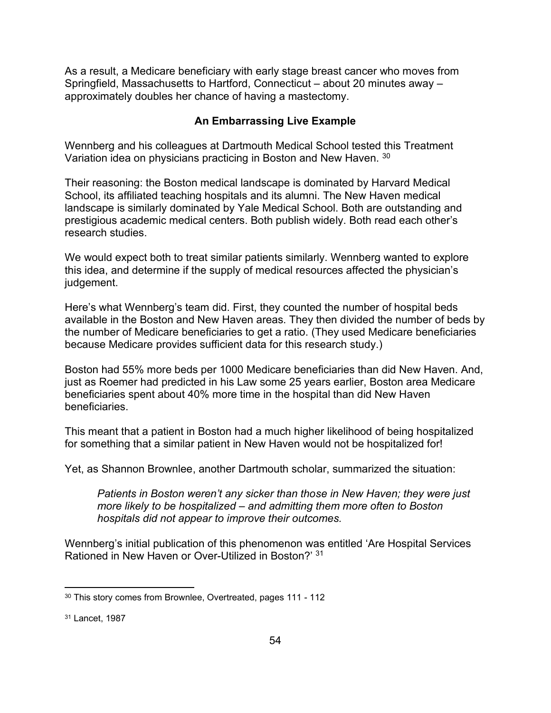As a result, a Medicare beneficiary with early stage breast cancer who moves from Springfield, Massachusetts to Hartford, Connecticut – about 20 minutes away – approximately doubles her chance of having a mastectomy.

### **An Embarrassing Live Example**

Wennberg and his colleagues at Dartmouth Medical School tested this Treatment Variation idea on physicians practicing in Boston and New Haven. <sup>30</sup>

Their reasoning: the Boston medical landscape is dominated by Harvard Medical School, its affiliated teaching hospitals and its alumni. The New Haven medical landscape is similarly dominated by Yale Medical School. Both are outstanding and prestigious academic medical centers. Both publish widely. Both read each other's research studies.

We would expect both to treat similar patients similarly. Wennberg wanted to explore this idea, and determine if the supply of medical resources affected the physician's judgement.

Here's what Wennberg's team did. First, they counted the number of hospital beds available in the Boston and New Haven areas. They then divided the number of beds by the number of Medicare beneficiaries to get a ratio. (They used Medicare beneficiaries because Medicare provides sufficient data for this research study.)

Boston had 55% more beds per 1000 Medicare beneficiaries than did New Haven. And, just as Roemer had predicted in his Law some 25 years earlier, Boston area Medicare beneficiaries spent about 40% more time in the hospital than did New Haven beneficiaries.

This meant that a patient in Boston had a much higher likelihood of being hospitalized for something that a similar patient in New Haven would not be hospitalized for!

Yet, as Shannon Brownlee, another Dartmouth scholar, summarized the situation:

*Patients in Boston weren't any sicker than those in New Haven; they were just more likely to be hospitalized – and admitting them more often to Boston hospitals did not appear to improve their outcomes.* 

Wennberg's initial publication of this phenomenon was entitled 'Are Hospital Services Rationed in New Haven or Over-Utilized in Boston?' <sup>31</sup>

<sup>&</sup>lt;sup>30</sup> This story comes from Brownlee, Overtreated, pages 111 - 112

<sup>31</sup> Lancet, 1987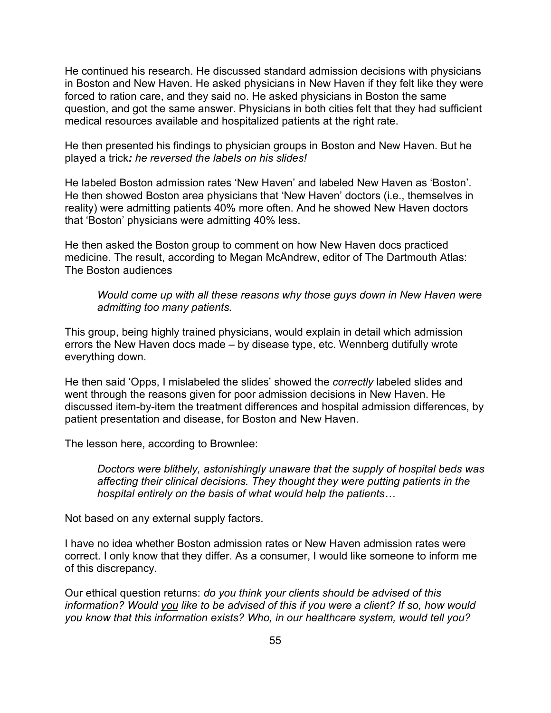He continued his research. He discussed standard admission decisions with physicians in Boston and New Haven. He asked physicians in New Haven if they felt like they were forced to ration care, and they said no. He asked physicians in Boston the same question, and got the same answer. Physicians in both cities felt that they had sufficient medical resources available and hospitalized patients at the right rate.

He then presented his findings to physician groups in Boston and New Haven. But he played a trick*: he reversed the labels on his slides!*

He labeled Boston admission rates 'New Haven' and labeled New Haven as 'Boston'. He then showed Boston area physicians that 'New Haven' doctors (i.e., themselves in reality) were admitting patients 40% more often. And he showed New Haven doctors that 'Boston' physicians were admitting 40% less.

He then asked the Boston group to comment on how New Haven docs practiced medicine. The result, according to Megan McAndrew, editor of The Dartmouth Atlas: The Boston audiences

*Would come up with all these reasons why those guys down in New Haven were admitting too many patients.*

This group, being highly trained physicians, would explain in detail which admission errors the New Haven docs made – by disease type, etc. Wennberg dutifully wrote everything down.

He then said 'Opps, I mislabeled the slides' showed the *correctly* labeled slides and went through the reasons given for poor admission decisions in New Haven. He discussed item-by-item the treatment differences and hospital admission differences, by patient presentation and disease, for Boston and New Haven.

The lesson here, according to Brownlee:

*Doctors were blithely, astonishingly unaware that the supply of hospital beds was affecting their clinical decisions. They thought they were putting patients in the hospital entirely on the basis of what would help the patients…*

Not based on any external supply factors.

I have no idea whether Boston admission rates or New Haven admission rates were correct. I only know that they differ. As a consumer, I would like someone to inform me of this discrepancy.

Our ethical question returns: *do you think your clients should be advised of this information? Would you like to be advised of this if you were a client? If so, how would you know that this information exists? Who, in our healthcare system, would tell you?*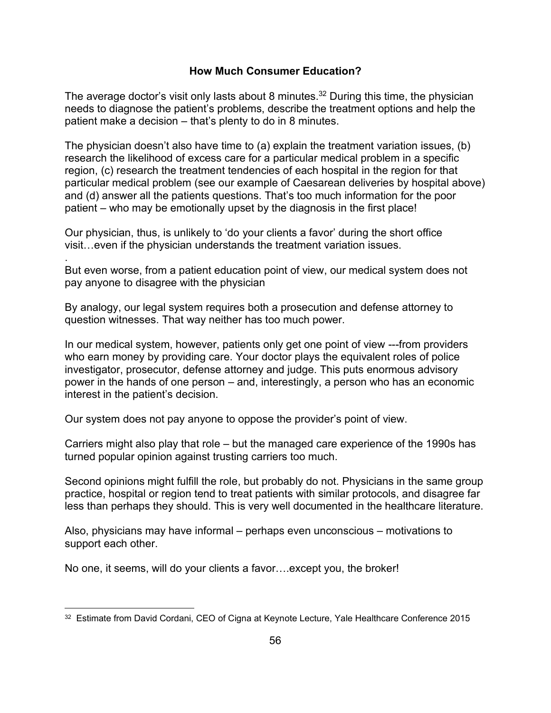### **How Much Consumer Education?**

The average doctor's visit only lasts about 8 minutes.<sup>32</sup> During this time, the physician needs to diagnose the patient's problems, describe the treatment options and help the patient make a decision – that's plenty to do in 8 minutes.

The physician doesn't also have time to (a) explain the treatment variation issues, (b) research the likelihood of excess care for a particular medical problem in a specific region, (c) research the treatment tendencies of each hospital in the region for that particular medical problem (see our example of Caesarean deliveries by hospital above) and (d) answer all the patients questions. That's too much information for the poor patient – who may be emotionally upset by the diagnosis in the first place!

Our physician, thus, is unlikely to 'do your clients a favor' during the short office visit…even if the physician understands the treatment variation issues.

.

But even worse, from a patient education point of view, our medical system does not pay anyone to disagree with the physician

By analogy, our legal system requires both a prosecution and defense attorney to question witnesses. That way neither has too much power.

In our medical system, however, patients only get one point of view ---from providers who earn money by providing care. Your doctor plays the equivalent roles of police investigator, prosecutor, defense attorney and judge. This puts enormous advisory power in the hands of one person – and, interestingly, a person who has an economic interest in the patient's decision.

Our system does not pay anyone to oppose the provider's point of view.

Carriers might also play that role – but the managed care experience of the 1990s has turned popular opinion against trusting carriers too much.

Second opinions might fulfill the role, but probably do not. Physicians in the same group practice, hospital or region tend to treat patients with similar protocols, and disagree far less than perhaps they should. This is very well documented in the healthcare literature.

Also, physicians may have informal – perhaps even unconscious – motivations to support each other.

No one, it seems, will do your clients a favor….except you, the broker!

 $^\mathrm{32}$  Estimate from David Cordani, CEO of Cigna at Keynote Lecture, Yale Healthcare Conference 2015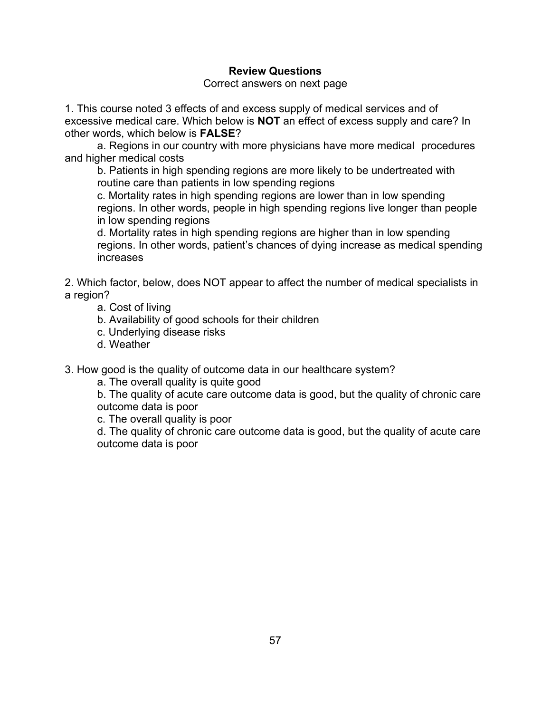### **Review Questions**

Correct answers on next page

1. This course noted 3 effects of and excess supply of medical services and of excessive medical care. Which below is **NOT** an effect of excess supply and care? In other words, which below is **FALSE**?

a. Regions in our country with more physicians have more medical procedures and higher medical costs

b. Patients in high spending regions are more likely to be undertreated with routine care than patients in low spending regions

c. Mortality rates in high spending regions are lower than in low spending regions. In other words, people in high spending regions live longer than people in low spending regions

d. Mortality rates in high spending regions are higher than in low spending regions. In other words, patient's chances of dying increase as medical spending increases

2. Which factor, below, does NOT appear to affect the number of medical specialists in a region?

a. Cost of living

b. Availability of good schools for their children

- c. Underlying disease risks
- d. Weather

3. How good is the quality of outcome data in our healthcare system?

a. The overall quality is quite good

b. The quality of acute care outcome data is good, but the quality of chronic care outcome data is poor

c. The overall quality is poor

d. The quality of chronic care outcome data is good, but the quality of acute care outcome data is poor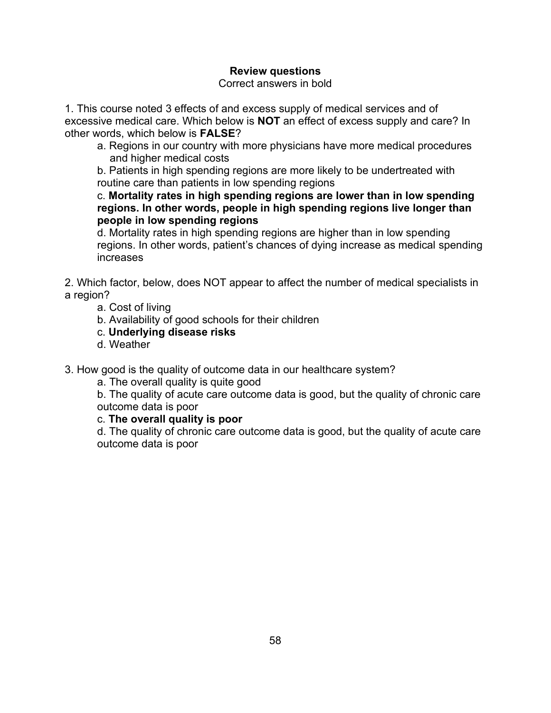### **Review questions**

Correct answers in bold

1. This course noted 3 effects of and excess supply of medical services and of excessive medical care. Which below is **NOT** an effect of excess supply and care? In other words, which below is **FALSE**?

a. Regions in our country with more physicians have more medical procedures and higher medical costs

b. Patients in high spending regions are more likely to be undertreated with routine care than patients in low spending regions

c. **Mortality rates in high spending regions are lower than in low spending regions. In other words, people in high spending regions live longer than people in low spending regions**

d. Mortality rates in high spending regions are higher than in low spending regions. In other words, patient's chances of dying increase as medical spending increases

2. Which factor, below, does NOT appear to affect the number of medical specialists in a region?

a. Cost of living

- b. Availability of good schools for their children
- c. **Underlying disease risks**
- d. Weather

3. How good is the quality of outcome data in our healthcare system?

a. The overall quality is quite good

b. The quality of acute care outcome data is good, but the quality of chronic care outcome data is poor

### c. **The overall quality is poor**

d. The quality of chronic care outcome data is good, but the quality of acute care outcome data is poor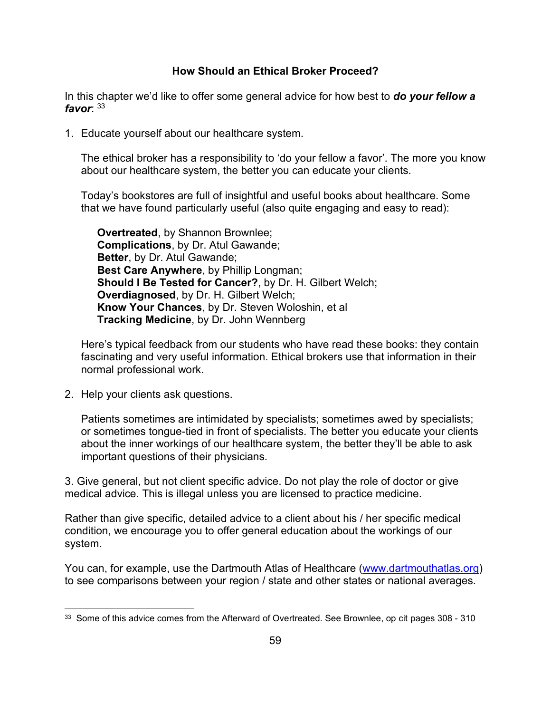### **How Should an Ethical Broker Proceed?**

In this chapter we'd like to offer some general advice for how best to *do your fellow a favor*: <sup>33</sup>

1. Educate yourself about our healthcare system.

The ethical broker has a responsibility to 'do your fellow a favor'. The more you know about our healthcare system, the better you can educate your clients.

Today's bookstores are full of insightful and useful books about healthcare. Some that we have found particularly useful (also quite engaging and easy to read):

**Overtreated**, by Shannon Brownlee; **Complications**, by Dr. Atul Gawande; **Better**, by Dr. Atul Gawande; **Best Care Anywhere**, by Phillip Longman; **Should I Be Tested for Cancer?**, by Dr. H. Gilbert Welch; **Overdiagnosed**, by Dr. H. Gilbert Welch; **Know Your Chances**, by Dr. Steven Woloshin, et al **Tracking Medicine**, by Dr. John Wennberg

Here's typical feedback from our students who have read these books: they contain fascinating and very useful information. Ethical brokers use that information in their normal professional work.

2. Help your clients ask questions.

Patients sometimes are intimidated by specialists; sometimes awed by specialists; or sometimes tongue-tied in front of specialists. The better you educate your clients about the inner workings of our healthcare system, the better they'll be able to ask important questions of their physicians.

3. Give general, but not client specific advice. Do not play the role of doctor or give medical advice. This is illegal unless you are licensed to practice medicine.

Rather than give specific, detailed advice to a client about his / her specific medical condition, we encourage you to offer general education about the workings of our system.

You can, for example, use the Dartmouth Atlas of Healthcare [\(www.dartmouthatlas.org\)](http://www.dartmouthatlas.org/) to see comparisons between your region / state and other states or national averages.

 $^{\rm 33}$  Some of this advice comes from the Afterward of Overtreated. See Brownlee, op cit pages 308 - 310  $\,$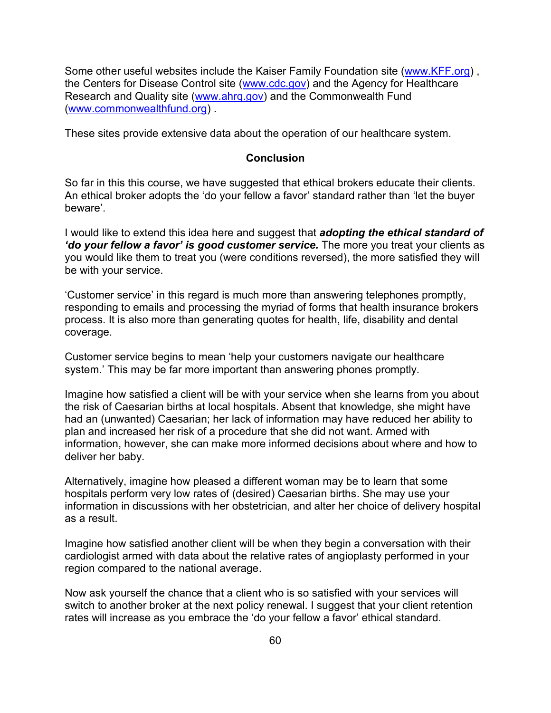Some other useful websites include the Kaiser Family Foundation site [\(www.KFF.org\)](http://www.kff.org/) , the Centers for Disease Control site [\(www.cdc.gov\)](http://www.cdc.gov/) and the Agency for Healthcare Research and Quality site [\(www.ahrq.gov\)](http://www.ahrq.gov/) and the Commonwealth Fund [\(www.commonwealthfund.org\)](http://www.commonwealthfund.org/) .

These sites provide extensive data about the operation of our healthcare system.

#### **Conclusion**

So far in this this course, we have suggested that ethical brokers educate their clients. An ethical broker adopts the 'do your fellow a favor' standard rather than 'let the buyer beware'.

I would like to extend this idea here and suggest that *adopting the ethical standard of 'do your fellow a favor' is good customer service.* The more you treat your clients as you would like them to treat you (were conditions reversed), the more satisfied they will be with your service.

'Customer service' in this regard is much more than answering telephones promptly, responding to emails and processing the myriad of forms that health insurance brokers process. It is also more than generating quotes for health, life, disability and dental coverage.

Customer service begins to mean 'help your customers navigate our healthcare system.' This may be far more important than answering phones promptly.

Imagine how satisfied a client will be with your service when she learns from you about the risk of Caesarian births at local hospitals. Absent that knowledge, she might have had an (unwanted) Caesarian; her lack of information may have reduced her ability to plan and increased her risk of a procedure that she did not want. Armed with information, however, she can make more informed decisions about where and how to deliver her baby.

Alternatively, imagine how pleased a different woman may be to learn that some hospitals perform very low rates of (desired) Caesarian births. She may use your information in discussions with her obstetrician, and alter her choice of delivery hospital as a result.

Imagine how satisfied another client will be when they begin a conversation with their cardiologist armed with data about the relative rates of angioplasty performed in your region compared to the national average.

Now ask yourself the chance that a client who is so satisfied with your services will switch to another broker at the next policy renewal. I suggest that your client retention rates will increase as you embrace the 'do your fellow a favor' ethical standard.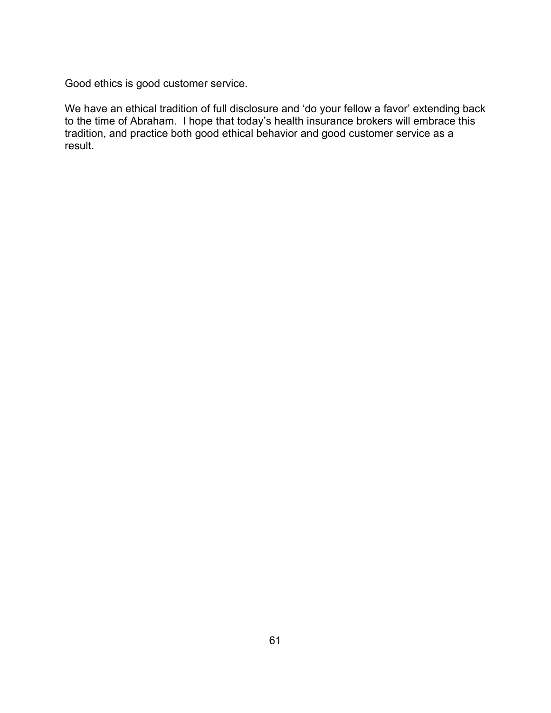Good ethics is good customer service.

We have an ethical tradition of full disclosure and 'do your fellow a favor' extending back to the time of Abraham. I hope that today's health insurance brokers will embrace this tradition, and practice both good ethical behavior and good customer service as a result.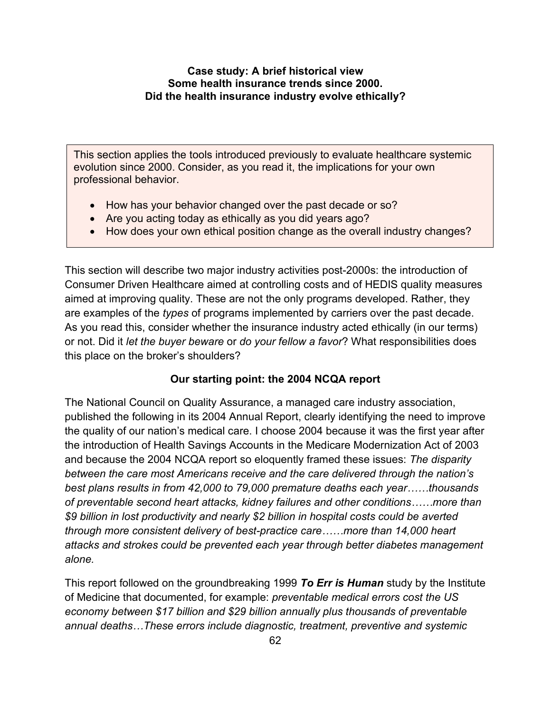#### **Case study: A brief historical view Some health insurance trends since 2000. Did the health insurance industry evolve ethically?**

This section applies the tools introduced previously to evaluate healthcare systemic evolution since 2000. Consider, as you read it, the implications for your own professional behavior.

- How has your behavior changed over the past decade or so?
- Are you acting today as ethically as you did years ago?
- How does your own ethical position change as the overall industry changes?

This section will describe two major industry activities post-2000s: the introduction of Consumer Driven Healthcare aimed at controlling costs and of HEDIS quality measures aimed at improving quality. These are not the only programs developed. Rather, they are examples of the *types* of programs implemented by carriers over the past decade. As you read this, consider whether the insurance industry acted ethically (in our terms) or not. Did it *let the buyer beware* or *do your fellow a favor*? What responsibilities does this place on the broker's shoulders?

### **Our starting point: the 2004 NCQA report**

The National Council on Quality Assurance, a managed care industry association, published the following in its 2004 Annual Report, clearly identifying the need to improve the quality of our nation's medical care. I choose 2004 because it was the first year after the introduction of Health Savings Accounts in the Medicare Modernization Act of 2003 and because the 2004 NCQA report so eloquently framed these issues: *The disparity between the care most Americans receive and the care delivered through the nation's best plans results in from 42,000 to 79,000 premature deaths each year……thousands of preventable second heart attacks, kidney failures and other conditions……more than \$9 billion in lost productivity and nearly \$2 billion in hospital costs could be averted through more consistent delivery of best-practice care……more than 14,000 heart attacks and strokes could be prevented each year through better diabetes management alone.* 

This report followed on the groundbreaking 1999 *To Err is Human* study by the Institute of Medicine that documented, for example: *preventable medical errors cost the US economy between \$17 billion and \$29 billion annually plus thousands of preventable annual deaths…These errors include diagnostic, treatment, preventive and systemic*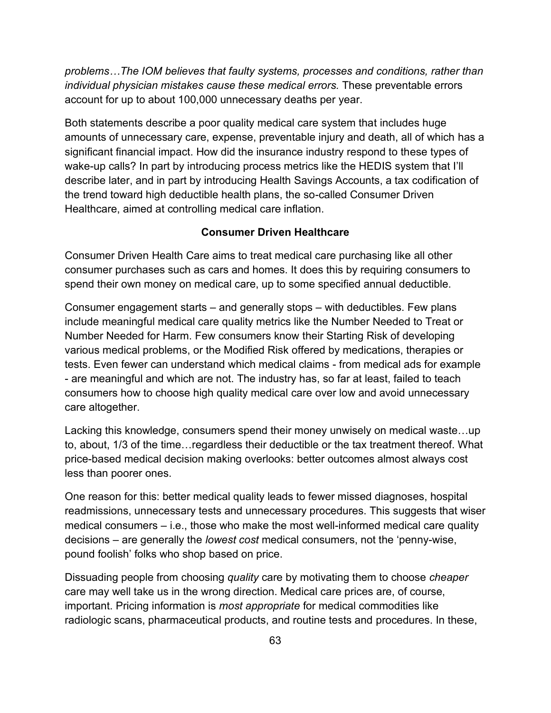*problems…The IOM believes that faulty systems, processes and conditions, rather than individual physician mistakes cause these medical errors.* These preventable errors account for up to about 100,000 unnecessary deaths per year.

Both statements describe a poor quality medical care system that includes huge amounts of unnecessary care, expense, preventable injury and death, all of which has a significant financial impact. How did the insurance industry respond to these types of wake-up calls? In part by introducing process metrics like the HEDIS system that I'll describe later, and in part by introducing Health Savings Accounts, a tax codification of the trend toward high deductible health plans, the so-called Consumer Driven Healthcare, aimed at controlling medical care inflation.

#### **Consumer Driven Healthcare**

Consumer Driven Health Care aims to treat medical care purchasing like all other consumer purchases such as cars and homes. It does this by requiring consumers to spend their own money on medical care, up to some specified annual deductible.

Consumer engagement starts – and generally stops – with deductibles. Few plans include meaningful medical care quality metrics like the Number Needed to Treat or Number Needed for Harm. Few consumers know their Starting Risk of developing various medical problems, or the Modified Risk offered by medications, therapies or tests. Even fewer can understand which medical claims - from medical ads for example - are meaningful and which are not. The industry has, so far at least, failed to teach consumers how to choose high quality medical care over low and avoid unnecessary care altogether.

Lacking this knowledge, consumers spend their money unwisely on medical waste…up to, about, 1/3 of the time…regardless their deductible or the tax treatment thereof. What price-based medical decision making overlooks: better outcomes almost always cost less than poorer ones.

One reason for this: better medical quality leads to fewer missed diagnoses, hospital readmissions, unnecessary tests and unnecessary procedures. This suggests that wiser medical consumers – i.e., those who make the most well-informed medical care quality decisions – are generally the *lowest cost* medical consumers, not the 'penny-wise, pound foolish' folks who shop based on price.

Dissuading people from choosing *quality* care by motivating them to choose *cheaper* care may well take us in the wrong direction. Medical care prices are, of course, important. Pricing information is *most appropriate* for medical commodities like radiologic scans, pharmaceutical products, and routine tests and procedures. In these,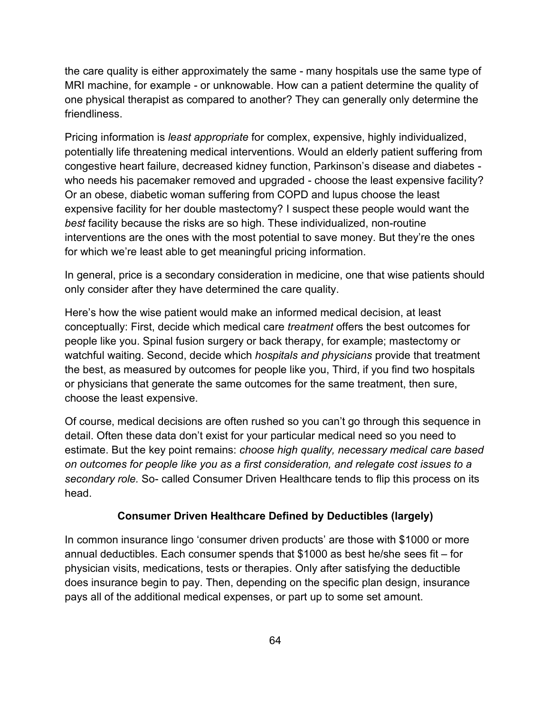the care quality is either approximately the same - many hospitals use the same type of MRI machine, for example - or unknowable. How can a patient determine the quality of one physical therapist as compared to another? They can generally only determine the friendliness.

Pricing information is *least appropriate* for complex, expensive, highly individualized, potentially life threatening medical interventions. Would an elderly patient suffering from congestive heart failure, decreased kidney function, Parkinson's disease and diabetes who needs his pacemaker removed and upgraded - choose the least expensive facility? Or an obese, diabetic woman suffering from COPD and lupus choose the least expensive facility for her double mastectomy? I suspect these people would want the *best* facility because the risks are so high. These individualized, non-routine interventions are the ones with the most potential to save money. But they're the ones for which we're least able to get meaningful pricing information.

In general, price is a secondary consideration in medicine, one that wise patients should only consider after they have determined the care quality.

Here's how the wise patient would make an informed medical decision, at least conceptually: First, decide which medical care *treatment* offers the best outcomes for people like you. Spinal fusion surgery or back therapy, for example; mastectomy or watchful waiting. Second, decide which *hospitals and physicians* provide that treatment the best, as measured by outcomes for people like you, Third, if you find two hospitals or physicians that generate the same outcomes for the same treatment, then sure, choose the least expensive.

Of course, medical decisions are often rushed so you can't go through this sequence in detail. Often these data don't exist for your particular medical need so you need to estimate. But the key point remains: *choose high quality, necessary medical care based on outcomes for people like you as a first consideration, and relegate cost issues to a secondary role.* So- called Consumer Driven Healthcare tends to flip this process on its head.

### **Consumer Driven Healthcare Defined by Deductibles (largely)**

In common insurance lingo 'consumer driven products' are those with \$1000 or more annual deductibles. Each consumer spends that \$1000 as best he/she sees fit – for physician visits, medications, tests or therapies. Only after satisfying the deductible does insurance begin to pay. Then, depending on the specific plan design, insurance pays all of the additional medical expenses, or part up to some set amount.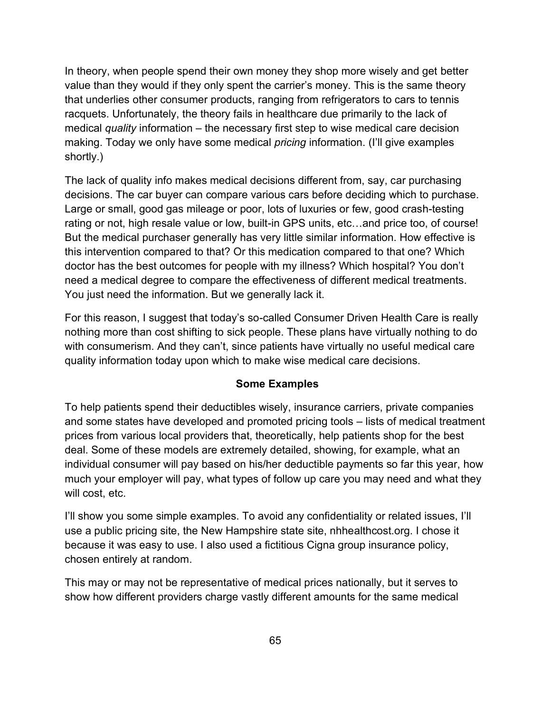In theory, when people spend their own money they shop more wisely and get better value than they would if they only spent the carrier's money. This is the same theory that underlies other consumer products, ranging from refrigerators to cars to tennis racquets. Unfortunately, the theory fails in healthcare due primarily to the lack of medical *quality* information – the necessary first step to wise medical care decision making. Today we only have some medical *pricing* information. (I'll give examples shortly.)

The lack of quality info makes medical decisions different from, say, car purchasing decisions. The car buyer can compare various cars before deciding which to purchase. Large or small, good gas mileage or poor, lots of luxuries or few, good crash-testing rating or not, high resale value or low, built-in GPS units, etc…and price too, of course! But the medical purchaser generally has very little similar information. How effective is this intervention compared to that? Or this medication compared to that one? Which doctor has the best outcomes for people with my illness? Which hospital? You don't need a medical degree to compare the effectiveness of different medical treatments. You just need the information. But we generally lack it.

For this reason, I suggest that today's so-called Consumer Driven Health Care is really nothing more than cost shifting to sick people. These plans have virtually nothing to do with consumerism. And they can't, since patients have virtually no useful medical care quality information today upon which to make wise medical care decisions.

#### **Some Examples**

To help patients spend their deductibles wisely, insurance carriers, private companies and some states have developed and promoted pricing tools – lists of medical treatment prices from various local providers that, theoretically, help patients shop for the best deal. Some of these models are extremely detailed, showing, for example, what an individual consumer will pay based on his/her deductible payments so far this year, how much your employer will pay, what types of follow up care you may need and what they will cost, etc.

I'll show you some simple examples. To avoid any confidentiality or related issues, I'll use a public pricing site, the New Hampshire state site, nhhealthcost.org. I chose it because it was easy to use. I also used a fictitious Cigna group insurance policy, chosen entirely at random.

This may or may not be representative of medical prices nationally, but it serves to show how different providers charge vastly different amounts for the same medical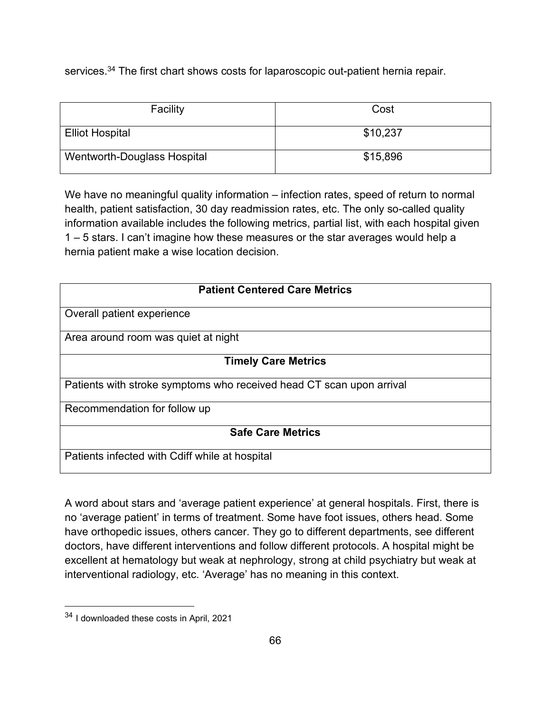services.<sup>34</sup> The first chart shows costs for laparoscopic out-patient hernia repair.

| Facility                    | Cost     |
|-----------------------------|----------|
| <b>Elliot Hospital</b>      | \$10,237 |
| Wentworth-Douglass Hospital | \$15,896 |

We have no meaningful quality information – infection rates, speed of return to normal health, patient satisfaction, 30 day readmission rates, etc. The only so-called quality information available includes the following metrics, partial list, with each hospital given 1 – 5 stars. I can't imagine how these measures or the star averages would help a hernia patient make a wise location decision.

| <b>Patient Centered Care Metrics</b>                                 |  |  |
|----------------------------------------------------------------------|--|--|
| Overall patient experience                                           |  |  |
|                                                                      |  |  |
| Area around room was quiet at night                                  |  |  |
| <b>Timely Care Metrics</b>                                           |  |  |
| Patients with stroke symptoms who received head CT scan upon arrival |  |  |
| Recommendation for follow up                                         |  |  |
| <b>Safe Care Metrics</b>                                             |  |  |
| Patients infected with Cdiff while at hospital                       |  |  |

A word about stars and 'average patient experience' at general hospitals. First, there is no 'average patient' in terms of treatment. Some have foot issues, others head. Some have orthopedic issues, others cancer. They go to different departments, see different doctors, have different interventions and follow different protocols. A hospital might be excellent at hematology but weak at nephrology, strong at child psychiatry but weak at interventional radiology, etc. 'Average' has no meaning in this context.

<sup>34</sup> I downloaded these costs in April, 2021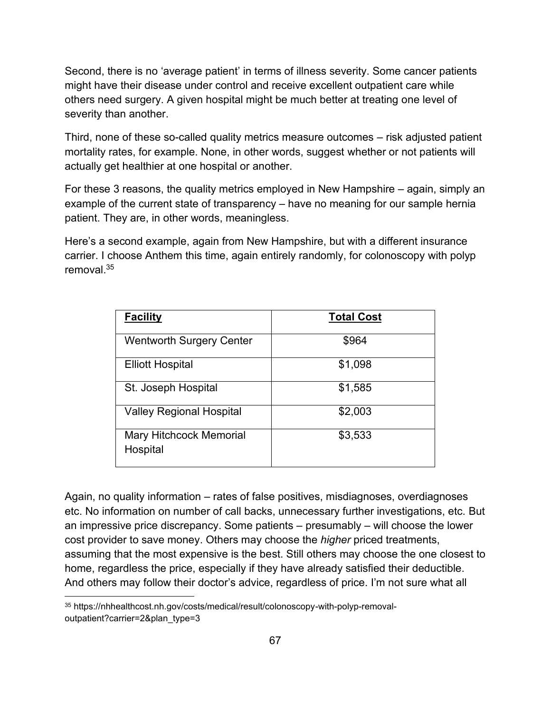Second, there is no 'average patient' in terms of illness severity. Some cancer patients might have their disease under control and receive excellent outpatient care while others need surgery. A given hospital might be much better at treating one level of severity than another.

Third, none of these so-called quality metrics measure outcomes – risk adjusted patient mortality rates, for example. None, in other words, suggest whether or not patients will actually get healthier at one hospital or another.

For these 3 reasons, the quality metrics employed in New Hampshire – again, simply an example of the current state of transparency – have no meaning for our sample hernia patient. They are, in other words, meaningless.

Here's a second example, again from New Hampshire, but with a different insurance carrier. I choose Anthem this time, again entirely randomly, for colonoscopy with polyp removal $35$ 

| <b>Facility</b>                            | <b>Total Cost</b> |
|--------------------------------------------|-------------------|
| <b>Wentworth Surgery Center</b>            | \$964             |
| <b>Elliott Hospital</b>                    | \$1,098           |
| St. Joseph Hospital                        | \$1,585           |
| <b>Valley Regional Hospital</b>            | \$2,003           |
| <b>Mary Hitchcock Memorial</b><br>Hospital | \$3,533           |

Again, no quality information – rates of false positives, misdiagnoses, overdiagnoses etc. No information on number of call backs, unnecessary further investigations, etc. But an impressive price discrepancy. Some patients – presumably – will choose the lower cost provider to save money. Others may choose the *higher* priced treatments, assuming that the most expensive is the best. Still others may choose the one closest to home, regardless the price, especially if they have already satisfied their deductible. And others may follow their doctor's advice, regardless of price. I'm not sure what all

<sup>35</sup> https://nhhealthcost.nh.gov/costs/medical/result/colonoscopy-with-polyp-removaloutpatient?carrier=2&plan\_type=3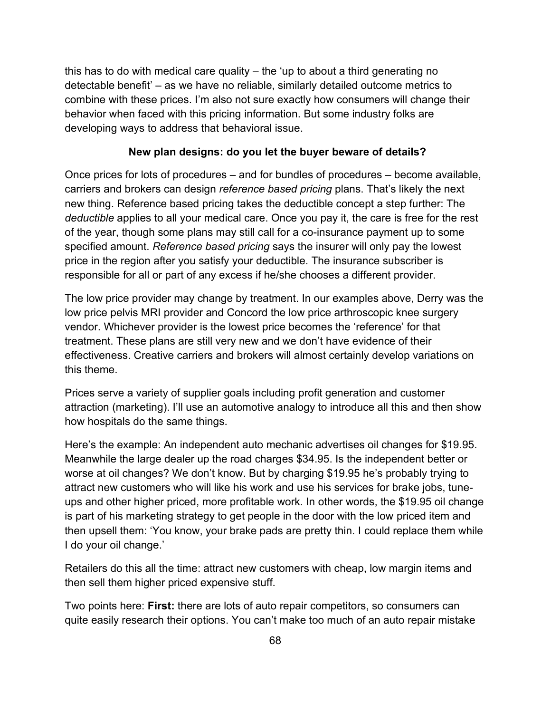this has to do with medical care quality – the 'up to about a third generating no detectable benefit' – as we have no reliable, similarly detailed outcome metrics to combine with these prices. I'm also not sure exactly how consumers will change their behavior when faced with this pricing information. But some industry folks are developing ways to address that behavioral issue.

### **New plan designs: do you let the buyer beware of details?**

Once prices for lots of procedures – and for bundles of procedures – become available, carriers and brokers can design *reference based pricing* plans. That's likely the next new thing. Reference based pricing takes the deductible concept a step further: The *deductible* applies to all your medical care. Once you pay it, the care is free for the rest of the year, though some plans may still call for a co-insurance payment up to some specified amount. *Reference based pricing* says the insurer will only pay the lowest price in the region after you satisfy your deductible. The insurance subscriber is responsible for all or part of any excess if he/she chooses a different provider.

The low price provider may change by treatment. In our examples above, Derry was the low price pelvis MRI provider and Concord the low price arthroscopic knee surgery vendor. Whichever provider is the lowest price becomes the 'reference' for that treatment. These plans are still very new and we don't have evidence of their effectiveness. Creative carriers and brokers will almost certainly develop variations on this theme.

Prices serve a variety of supplier goals including profit generation and customer attraction (marketing). I'll use an automotive analogy to introduce all this and then show how hospitals do the same things.

Here's the example: An independent auto mechanic advertises oil changes for \$19.95. Meanwhile the large dealer up the road charges \$34.95. Is the independent better or worse at oil changes? We don't know. But by charging \$19.95 he's probably trying to attract new customers who will like his work and use his services for brake jobs, tuneups and other higher priced, more profitable work. In other words, the \$19.95 oil change is part of his marketing strategy to get people in the door with the low priced item and then upsell them: 'You know, your brake pads are pretty thin. I could replace them while I do your oil change.'

Retailers do this all the time: attract new customers with cheap, low margin items and then sell them higher priced expensive stuff.

Two points here: **First:** there are lots of auto repair competitors, so consumers can quite easily research their options. You can't make too much of an auto repair mistake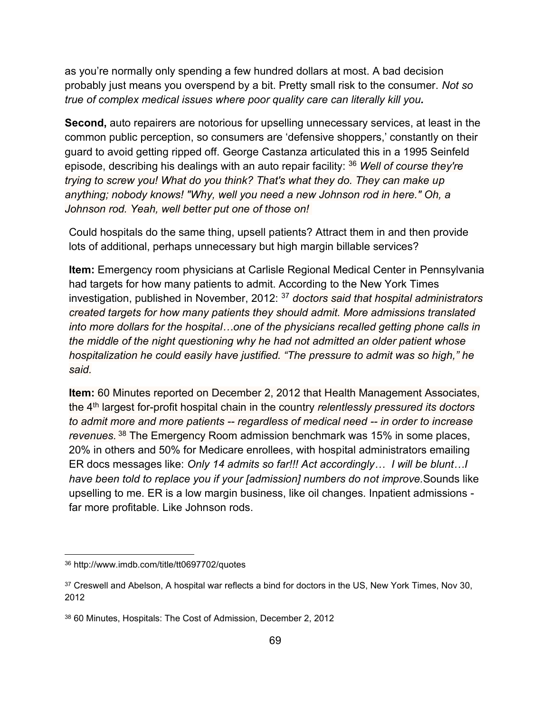as you're normally only spending a few hundred dollars at most. A bad decision probably just means you overspend by a bit. Pretty small risk to the consumer. *Not so true of complex medical issues where poor quality care can literally kill you.* 

**Second,** auto repairers are notorious for upselling unnecessary services, at least in the common public perception, so consumers are 'defensive shoppers,' constantly on their guard to avoid getting ripped off. George Castanza articulated this in a 1995 Seinfeld episode, describing his dealings with an auto repair facility: <sup>36</sup> *Well of course they're trying to screw you! What do you think? That's what they do. They can make up anything; nobody knows! "Why, well you need a new Johnson rod in here." Oh, a Johnson rod. Yeah, well better put one of those on!*

Could hospitals do the same thing, upsell patients? Attract them in and then provide lots of additional, perhaps unnecessary but high margin billable services?

**Item:** Emergency room physicians at Carlisle Regional Medical Center in Pennsylvania had targets for how many patients to admit. According to the New York Times investigation, published in November, 2012: <sup>37</sup> *doctors said that hospital administrators created targets for how many patients they should admit. More admissions translated into more dollars for the hospital…one of the physicians recalled getting phone calls in the middle of the night questioning why he had not admitted an older patient whose hospitalization he could easily have justified. "The pressure to admit was so high," he said.*

**Item:** 60 Minutes reported on December 2, 2012 that Health Management Associates, the 4th largest for-profit hospital chain in the country *relentlessly pressured its doctors to admit more and more patients -- regardless of medical need -- in order to increase revenues.* <sup>38</sup> The Emergency Room admission benchmark was 15% in some places, 20% in others and 50% for Medicare enrollees, with hospital administrators emailing ER docs messages like: *Only 14 admits so far!!! Act accordingly… I will be blunt…I have been told to replace you if your [admission] numbers do not improve.*Sounds like upselling to me. ER is a low margin business, like oil changes. Inpatient admissions far more profitable. Like Johnson rods.

<sup>36</sup> http://www.imdb.com/title/tt0697702/quotes

<sup>37</sup> Creswell and Abelson, A hospital war reflects a bind for doctors in the US, New York Times, Nov 30, 2012

<sup>38</sup> 60 Minutes, Hospitals: The Cost of Admission, December 2, 2012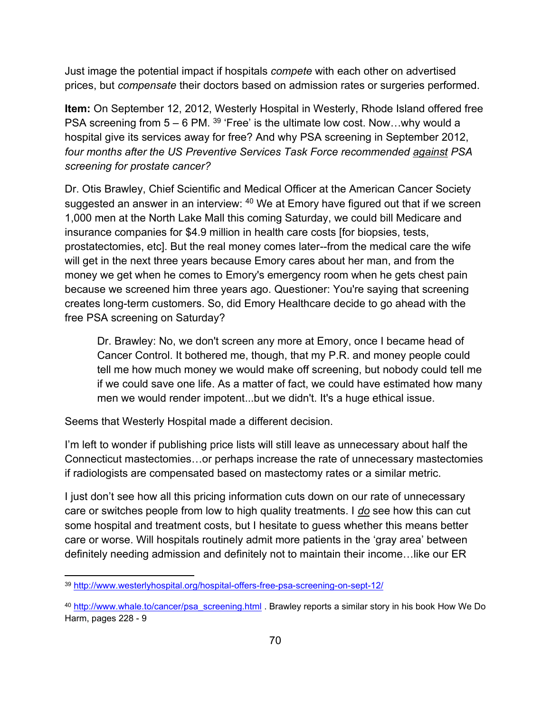Just image the potential impact if hospitals *compete* with each other on advertised prices, but *compensate* their doctors based on admission rates or surgeries performed.

**Item:** On September 12, 2012, Westerly Hospital in Westerly, Rhode Island offered free PSA screening from  $5 - 6$  PM.  $39$  'Free' is the ultimate low cost. Now...why would a hospital give its services away for free? And why PSA screening in September 2012, *four months after the US Preventive Services Task Force recommended against PSA screening for prostate cancer?* 

Dr. Otis Brawley, Chief Scientific and Medical Officer at the American Cancer Society suggested an answer in an interview: <sup>40</sup> We at Emory have figured out that if we screen 1,000 men at the North Lake Mall this coming Saturday, we could bill Medicare and insurance companies for \$4.9 million in health care costs [for biopsies, tests, prostatectomies, etc]. But the real money comes later--from the medical care the wife will get in the next three years because Emory cares about her man, and from the money we get when he comes to Emory's emergency room when he gets chest pain because we screened him three years ago. Questioner: You're saying that screening creates long-term customers. So, did Emory Healthcare decide to go ahead with the free PSA screening on Saturday?

Dr. Brawley: No, we don't screen any more at Emory, once I became head of Cancer Control. It bothered me, though, that my P.R. and money people could tell me how much money we would make off screening, but nobody could tell me if we could save one life. As a matter of fact, we could have estimated how many men we would render impotent...but we didn't. It's a huge ethical issue.

Seems that Westerly Hospital made a different decision.

I'm left to wonder if publishing price lists will still leave as unnecessary about half the Connecticut mastectomies…or perhaps increase the rate of unnecessary mastectomies if radiologists are compensated based on mastectomy rates or a similar metric.

I just don't see how all this pricing information cuts down on our rate of unnecessary care or switches people from low to high quality treatments. I *do* see how this can cut some hospital and treatment costs, but I hesitate to guess whether this means better care or worse. Will hospitals routinely admit more patients in the 'gray area' between definitely needing admission and definitely not to maintain their income…like our ER

<sup>39</sup> <http://www.westerlyhospital.org/hospital-offers-free-psa-screening-on-sept-12/>

<sup>&</sup>lt;sup>40</sup> [http://www.whale.to/cancer/psa\\_screening.html](http://www.whale.to/cancer/psa_screening.html) . Brawley reports a similar story in his book How We Do Harm, pages 228 - 9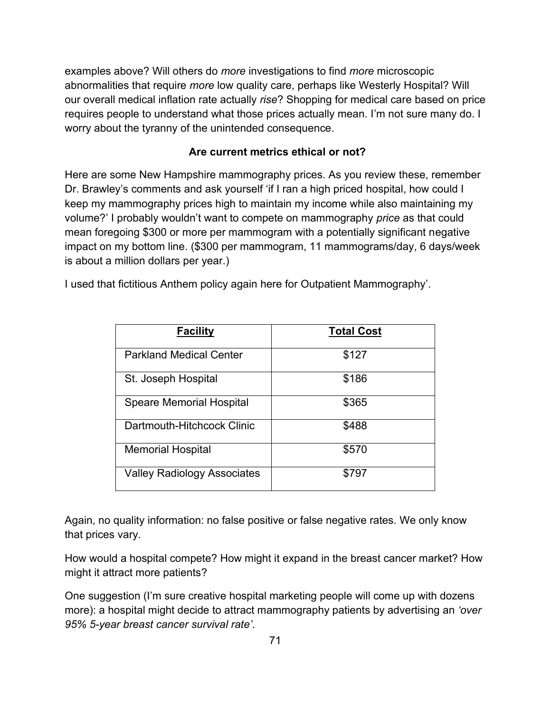examples above? Will others do *more* investigations to find *more* microscopic abnormalities that require *more* low quality care, perhaps like Westerly Hospital? Will our overall medical inflation rate actually *rise*? Shopping for medical care based on price requires people to understand what those prices actually mean. I'm not sure many do. I worry about the tyranny of the unintended consequence.

### **Are current metrics ethical or not?**

Here are some New Hampshire mammography prices. As you review these, remember Dr. Brawley's comments and ask yourself 'if I ran a high priced hospital, how could I keep my mammography prices high to maintain my income while also maintaining my volume?' I probably wouldn't want to compete on mammography *price* as that could mean foregoing \$300 or more per mammogram with a potentially significant negative impact on my bottom line. (\$300 per mammogram, 11 mammograms/day, 6 days/week is about a million dollars per year.)

I used that fictitious Anthem policy again here for Outpatient Mammography'.

| <b>Facility</b>                    | <b>Total Cost</b> |
|------------------------------------|-------------------|
| <b>Parkland Medical Center</b>     | \$127             |
| St. Joseph Hospital                | \$186             |
| <b>Speare Memorial Hospital</b>    | \$365             |
| Dartmouth-Hitchcock Clinic         | \$488             |
| <b>Memorial Hospital</b>           | \$570             |
| <b>Valley Radiology Associates</b> | \$797             |

Again, no quality information: no false positive or false negative rates. We only know that prices vary.

How would a hospital compete? How might it expand in the breast cancer market? How might it attract more patients?

One suggestion (I'm sure creative hospital marketing people will come up with dozens more): a hospital might decide to attract mammography patients by advertising an *'over 95% 5-year breast cancer survival rate'*.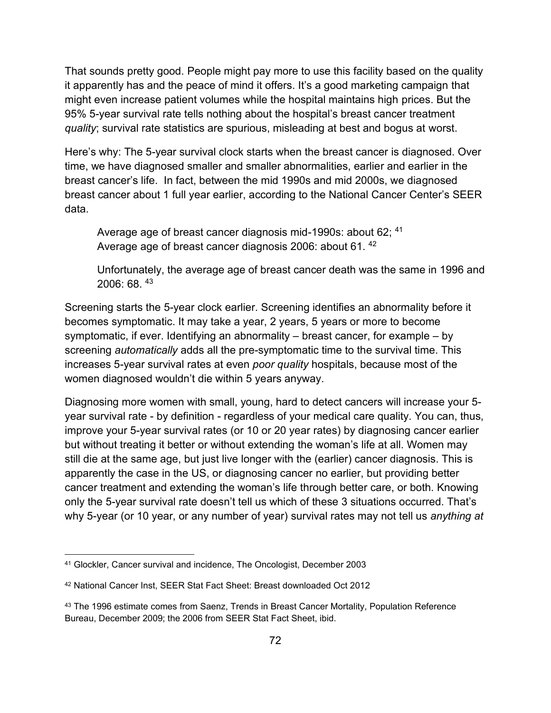That sounds pretty good. People might pay more to use this facility based on the quality it apparently has and the peace of mind it offers. It's a good marketing campaign that might even increase patient volumes while the hospital maintains high prices. But the 95% 5-year survival rate tells nothing about the hospital's breast cancer treatment *quality*; survival rate statistics are spurious, misleading at best and bogus at worst.

Here's why: The 5-year survival clock starts when the breast cancer is diagnosed. Over time, we have diagnosed smaller and smaller abnormalities, earlier and earlier in the breast cancer's life. In fact, between the mid 1990s and mid 2000s, we diagnosed breast cancer about 1 full year earlier, according to the National Cancer Center's SEER data.

Average age of breast cancer diagnosis mid-1990s: about 62; <sup>41</sup> Average age of breast cancer diagnosis 2006: about 61. <sup>42</sup>

Unfortunately, the average age of breast cancer death was the same in 1996 and 2006: 68. <sup>43</sup>

Screening starts the 5-year clock earlier. Screening identifies an abnormality before it becomes symptomatic. It may take a year, 2 years, 5 years or more to become symptomatic, if ever. Identifying an abnormality – breast cancer, for example – by screening *automatically* adds all the pre-symptomatic time to the survival time. This increases 5-year survival rates at even *poor quality* hospitals, because most of the women diagnosed wouldn't die within 5 years anyway.

Diagnosing more women with small, young, hard to detect cancers will increase your 5 year survival rate - by definition - regardless of your medical care quality. You can, thus, improve your 5-year survival rates (or 10 or 20 year rates) by diagnosing cancer earlier but without treating it better or without extending the woman's life at all. Women may still die at the same age, but just live longer with the (earlier) cancer diagnosis. This is apparently the case in the US, or diagnosing cancer no earlier, but providing better cancer treatment and extending the woman's life through better care, or both. Knowing only the 5-year survival rate doesn't tell us which of these 3 situations occurred. That's why 5-year (or 10 year, or any number of year) survival rates may not tell us *anything at* 

<sup>41</sup> Glockler, Cancer survival and incidence, The Oncologist, December 2003

<sup>42</sup> National Cancer Inst, SEER Stat Fact Sheet: Breast downloaded Oct 2012

<sup>&</sup>lt;sup>43</sup> The 1996 estimate comes from Saenz, Trends in Breast Cancer Mortality, Population Reference Bureau, December 2009; the 2006 from SEER Stat Fact Sheet, ibid.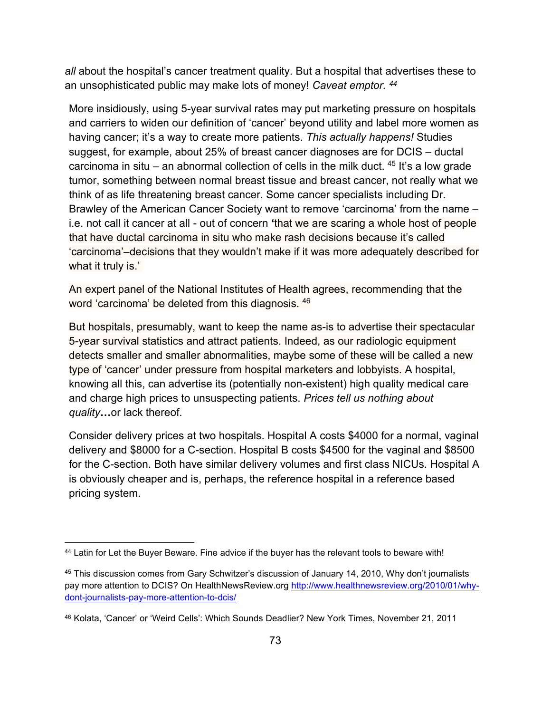*all* about the hospital's cancer treatment quality. But a hospital that advertises these to an unsophisticated public may make lots of money! *Caveat emptor. <sup>44</sup>*

More insidiously, using 5-year survival rates may put marketing pressure on hospitals and carriers to widen our definition of 'cancer' beyond utility and label more women as having cancer; it's a way to create more patients. *This actually happens!* Studies suggest, for example, about 25% of breast cancer diagnoses are for DCIS – ductal carcinoma in situ – an abnormal collection of cells in the milk duct.  $45$  It's a low grade tumor, something between normal breast tissue and breast cancer, not really what we think of as life threatening breast cancer. Some cancer specialists including Dr. Brawley of the American Cancer Society want to remove 'carcinoma' from the name – i.e. not call it cancer at all - out of concern **'**that we are scaring a whole host of people that have ductal carcinoma in situ who make rash decisions because it's called 'carcinoma'–decisions that they wouldn't make if it was more adequately described for what it truly is.'

An expert panel of the National Institutes of Health agrees, recommending that the word 'carcinoma' be deleted from this diagnosis. <sup>46</sup>

But hospitals, presumably, want to keep the name as-is to advertise their spectacular 5-year survival statistics and attract patients. Indeed, as our radiologic equipment detects smaller and smaller abnormalities, maybe some of these will be called a new type of 'cancer' under pressure from hospital marketers and lobbyists. A hospital, knowing all this, can advertise its (potentially non-existent) high quality medical care and charge high prices to unsuspecting patients. *Prices tell us nothing about quality***…**or lack thereof.

Consider delivery prices at two hospitals. Hospital A costs \$4000 for a normal, vaginal delivery and \$8000 for a C-section. Hospital B costs \$4500 for the vaginal and \$8500 for the C-section. Both have similar delivery volumes and first class NICUs. Hospital A is obviously cheaper and is, perhaps, the reference hospital in a reference based pricing system.

<sup>44</sup> Latin for Let the Buyer Beware. Fine advice if the buyer has the relevant tools to beware with!

<sup>45</sup> This discussion comes from Gary Schwitzer's discussion of January 14, 2010, Why don't journalists pay more attention to DCIS? On HealthNewsReview.org [http://www.healthnewsreview.org/2010/01/why](http://www.healthnewsreview.org/2010/01/why-dont-journalists-pay-more-attention-to-dcis/)[dont-journalists-pay-more-attention-to-dcis/](http://www.healthnewsreview.org/2010/01/why-dont-journalists-pay-more-attention-to-dcis/) 

<sup>46</sup> Kolata, 'Cancer' or 'Weird Cells': Which Sounds Deadlier? New York Times, November 21, 2011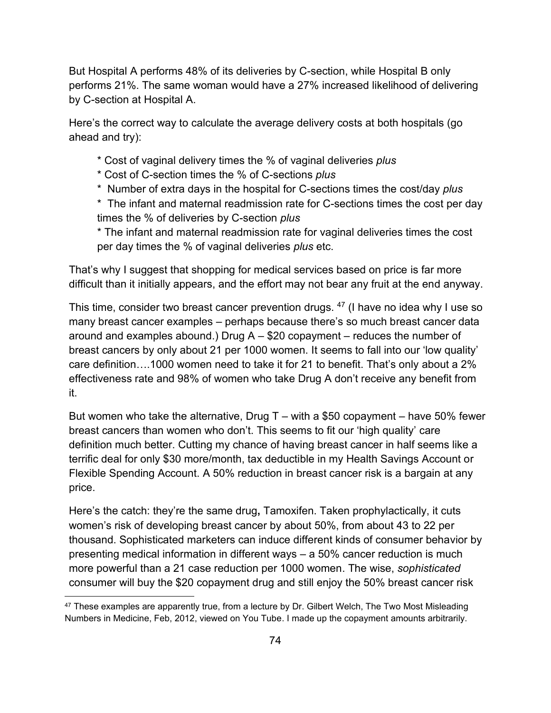But Hospital A performs 48% of its deliveries by C-section, while Hospital B only performs 21%. The same woman would have a 27% increased likelihood of delivering by C-section at Hospital A.

Here's the correct way to calculate the average delivery costs at both hospitals (go ahead and try):

- \* Cost of vaginal delivery times the % of vaginal deliveries *plus*
- \* Cost of C-section times the % of C-sections *plus*
- \* Number of extra days in the hospital for C-sections times the cost/day *plus*
- \* The infant and maternal readmission rate for C-sections times the cost per day times the % of deliveries by C-section *plus*

\* The infant and maternal readmission rate for vaginal deliveries times the cost per day times the % of vaginal deliveries *plus* etc.

That's why I suggest that shopping for medical services based on price is far more difficult than it initially appears, and the effort may not bear any fruit at the end anyway.

This time, consider two breast cancer prevention drugs. <sup>47</sup> (I have no idea why I use so many breast cancer examples – perhaps because there's so much breast cancer data around and examples abound.) Drug A – \$20 copayment – reduces the number of breast cancers by only about 21 per 1000 women. It seems to fall into our 'low quality' care definition….1000 women need to take it for 21 to benefit. That's only about a 2% effectiveness rate and 98% of women who take Drug A don't receive any benefit from it.

But women who take the alternative, Drug  $T -$  with a \$50 copayment – have 50% fewer breast cancers than women who don't. This seems to fit our 'high quality' care definition much better. Cutting my chance of having breast cancer in half seems like a terrific deal for only \$30 more/month, tax deductible in my Health Savings Account or Flexible Spending Account. A 50% reduction in breast cancer risk is a bargain at any price.

Here's the catch: they're the same drug**,** Tamoxifen. Taken prophylactically, it cuts women's risk of developing breast cancer by about 50%, from about 43 to 22 per thousand. Sophisticated marketers can induce different kinds of consumer behavior by presenting medical information in different ways – a 50% cancer reduction is much more powerful than a 21 case reduction per 1000 women. The wise, *sophisticated* consumer will buy the \$20 copayment drug and still enjoy the 50% breast cancer risk

 $47$  These examples are apparently true, from a lecture by Dr. Gilbert Welch, The Two Most Misleading Numbers in Medicine, Feb, 2012, viewed on You Tube. I made up the copayment amounts arbitrarily.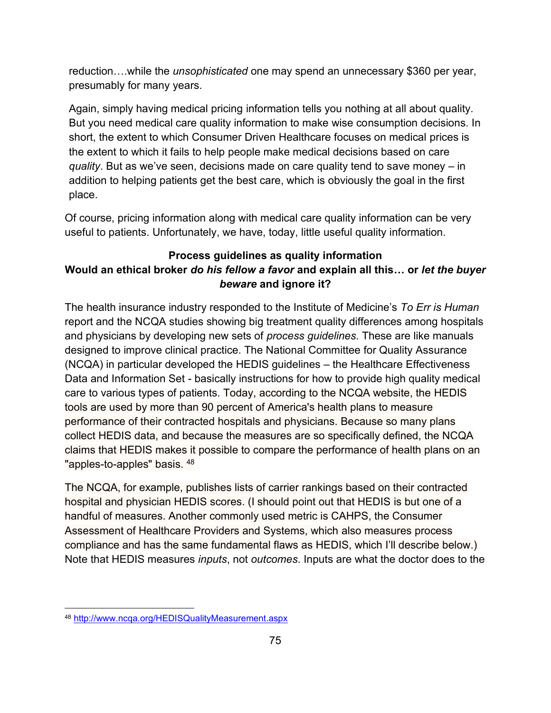reduction….while the *unsophisticated* one may spend an unnecessary \$360 per year, presumably for many years.

Again, simply having medical pricing information tells you nothing at all about quality. But you need medical care quality information to make wise consumption decisions. In short, the extent to which Consumer Driven Healthcare focuses on medical prices is the extent to which it fails to help people make medical decisions based on care *quality*. But as we've seen, decisions made on care quality tend to save money – in addition to helping patients get the best care, which is obviously the goal in the first place.

Of course, pricing information along with medical care quality information can be very useful to patients. Unfortunately, we have, today, little useful quality information.

# **Process guidelines as quality information Would an ethical broker** *do his fellow a favor* **and explain all this… or** *let the buyer beware* **and ignore it?**

The health insurance industry responded to the Institute of Medicine's *To Err is Human* report and the NCQA studies showing big treatment quality differences among hospitals and physicians by developing new sets of *process guidelines*. These are like manuals designed to improve clinical practice. The National Committee for Quality Assurance (NCQA) in particular developed the HEDIS guidelines – the Healthcare Effectiveness Data and Information Set - basically instructions for how to provide high quality medical care to various types of patients. Today, according to the NCQA website, the HEDIS tools are used by more than 90 percent of America's health plans to measure performance of their contracted hospitals and physicians. Because so many plans collect HEDIS data, and because the measures are so specifically defined, the NCQA claims that HEDIS makes it possible to compare the performance of health plans on an "apples-to-apples" basis. 48

The NCQA, for example, publishes lists of carrier rankings based on their contracted hospital and physician HEDIS scores. (I should point out that HEDIS is but one of a handful of measures. Another commonly used metric is CAHPS, the Consumer Assessment of Healthcare Providers and Systems, which also measures process compliance and has the same fundamental flaws as HEDIS, which I'll describe below.) Note that HEDIS measures *inputs*, not *outcomes*. Inputs are what the doctor does to the

<sup>48</sup> <http://www.ncqa.org/HEDISQualityMeasurement.aspx>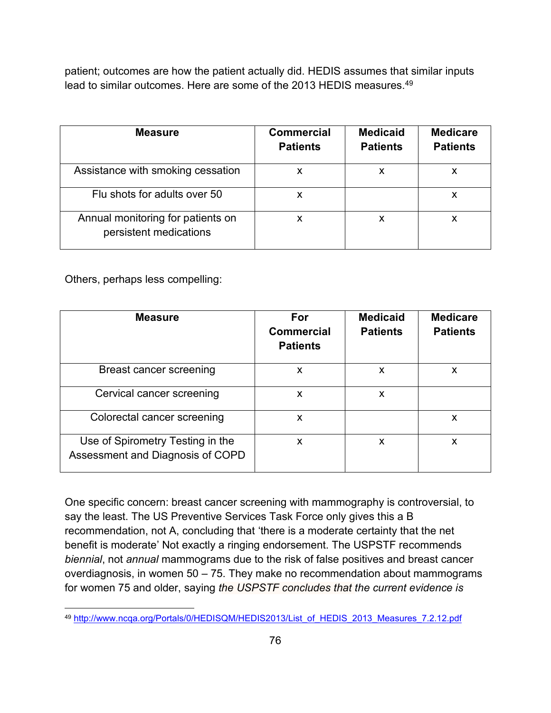patient; outcomes are how the patient actually did. HEDIS assumes that similar inputs lead to similar outcomes. Here are some of the 2013 HEDIS measures.<sup>49</sup>

| <b>Measure</b>                                              | <b>Commercial</b><br><b>Patients</b> | <b>Medicaid</b><br><b>Patients</b> | <b>Medicare</b><br><b>Patients</b> |
|-------------------------------------------------------------|--------------------------------------|------------------------------------|------------------------------------|
| Assistance with smoking cessation                           | X                                    |                                    | х                                  |
| Flu shots for adults over 50                                |                                      |                                    | х                                  |
| Annual monitoring for patients on<br>persistent medications | X                                    | X                                  | х                                  |

Others, perhaps less compelling:

| <b>Measure</b>                                                       | For<br><b>Commercial</b><br><b>Patients</b> | <b>Medicaid</b><br><b>Patients</b> | <b>Medicare</b><br><b>Patients</b> |
|----------------------------------------------------------------------|---------------------------------------------|------------------------------------|------------------------------------|
| Breast cancer screening                                              | X                                           | X                                  | x                                  |
| Cervical cancer screening                                            | X                                           | X                                  |                                    |
| Colorectal cancer screening                                          | X                                           |                                    | X                                  |
| Use of Spirometry Testing in the<br>Assessment and Diagnosis of COPD | X                                           | X                                  | x                                  |

One specific concern: breast cancer screening with mammography is controversial, to say the least. The US Preventive Services Task Force only gives this a B recommendation, not A, concluding that 'there is a moderate certainty that the net benefit is moderate' Not exactly a ringing endorsement. The USPSTF recommends *biennial*, not *annual* mammograms due to the risk of false positives and breast cancer overdiagnosis, in women 50 – 75. They make no recommendation about mammograms for women 75 and older, saying *the USPSTF concludes that the current evidence is* 

<sup>49</sup> [http://www.ncqa.org/Portals/0/HEDISQM/HEDIS2013/List\\_of\\_HEDIS\\_2013\\_Measures\\_7.2.12.pdf](http://www.ncqa.org/Portals/0/HEDISQM/HEDIS2013/List_of_HEDIS_2013_Measures_7.2.12.pdf)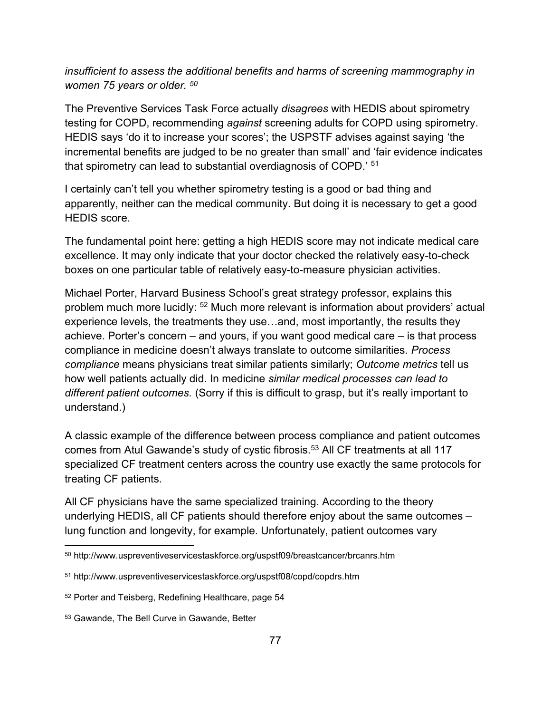### *insufficient to assess the additional benefits and harms of screening mammography in women 75 years or older. <sup>50</sup>*

The Preventive Services Task Force actually *disagrees* with HEDIS about spirometry testing for COPD, recommending *against* screening adults for COPD using spirometry. HEDIS says 'do it to increase your scores'; the USPSTF advises against saying 'the incremental benefits are judged to be no greater than small' and 'fair evidence indicates that spirometry can lead to substantial overdiagnosis of COPD.' <sup>51</sup>

I certainly can't tell you whether spirometry testing is a good or bad thing and apparently, neither can the medical community. But doing it is necessary to get a good HEDIS score.

The fundamental point here: getting a high HEDIS score may not indicate medical care excellence. It may only indicate that your doctor checked the relatively easy-to-check boxes on one particular table of relatively easy-to-measure physician activities.

Michael Porter, Harvard Business School's great strategy professor, explains this problem much more lucidly: <sup>52</sup> Much more relevant is information about providers' actual experience levels, the treatments they use…and, most importantly, the results they achieve. Porter's concern – and yours, if you want good medical care – is that process compliance in medicine doesn't always translate to outcome similarities. *Process compliance* means physicians treat similar patients similarly; *Outcome metrics* tell us how well patients actually did. In medicine *similar medical processes can lead to different patient outcomes.* (Sorry if this is difficult to grasp, but it's really important to understand.)

A classic example of the difference between process compliance and patient outcomes comes from Atul Gawande's study of cystic fibrosis.<sup>53</sup> All CF treatments at all 117 specialized CF treatment centers across the country use exactly the same protocols for treating CF patients.

All CF physicians have the same specialized training. According to the theory underlying HEDIS, all CF patients should therefore enjoy about the same outcomes – lung function and longevity, for example. Unfortunately, patient outcomes vary

<sup>50</sup> http://www.uspreventiveservicestaskforce.org/uspstf09/breastcancer/brcanrs.htm

<sup>51</sup> http://www.uspreventiveservicestaskforce.org/uspstf08/copd/copdrs.htm

<sup>52</sup> Porter and Teisberg, Redefining Healthcare, page 54

<sup>53</sup> Gawande, The Bell Curve in Gawande, Better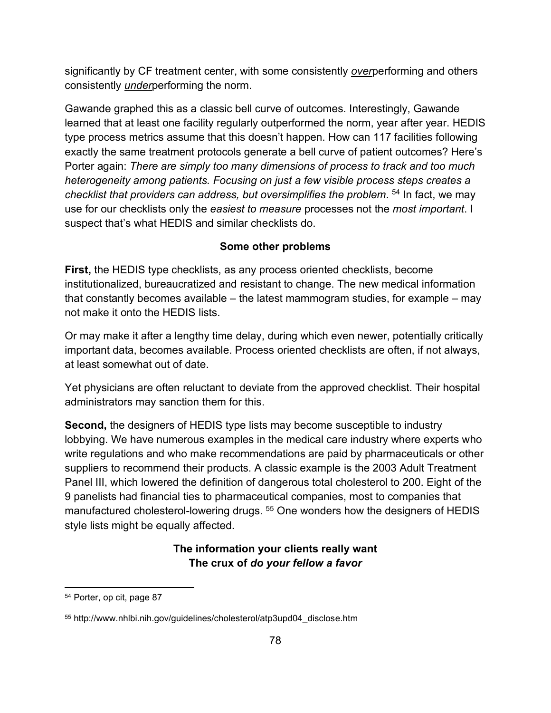significantly by CF treatment center, with some consistently *over*performing and others consistently *under*performing the norm.

Gawande graphed this as a classic bell curve of outcomes. Interestingly, Gawande learned that at least one facility regularly outperformed the norm, year after year. HEDIS type process metrics assume that this doesn't happen. How can 117 facilities following exactly the same treatment protocols generate a bell curve of patient outcomes? Here's Porter again: *There are simply too many dimensions of process to track and too much heterogeneity among patients. Focusing on just a few visible process steps creates a checklist that providers can address, but oversimplifies the problem*. <sup>54</sup> In fact, we may use for our checklists only the *easiest to measure* processes not the *most important*. I suspect that's what HEDIS and similar checklists do.

### **Some other problems**

**First,** the HEDIS type checklists, as any process oriented checklists, become institutionalized, bureaucratized and resistant to change. The new medical information that constantly becomes available – the latest mammogram studies, for example – may not make it onto the HEDIS lists.

Or may make it after a lengthy time delay, during which even newer, potentially critically important data, becomes available. Process oriented checklists are often, if not always, at least somewhat out of date.

Yet physicians are often reluctant to deviate from the approved checklist. Their hospital administrators may sanction them for this.

**Second,** the designers of HEDIS type lists may become susceptible to industry lobbying. We have numerous examples in the medical care industry where experts who write regulations and who make recommendations are paid by pharmaceuticals or other suppliers to recommend their products. A classic example is the 2003 Adult Treatment Panel III, which lowered the definition of dangerous total cholesterol to 200. Eight of the 9 panelists had financial ties to pharmaceutical companies, most to companies that manufactured cholesterol-lowering drugs.<sup>55</sup> One wonders how the designers of HEDIS style lists might be equally affected.

## **The information your clients really want The crux of** *do your fellow a favor*

<sup>54</sup> Porter, op cit, page 87

<sup>55</sup> http://www.nhlbi.nih.gov/guidelines/cholesterol/atp3upd04\_disclose.htm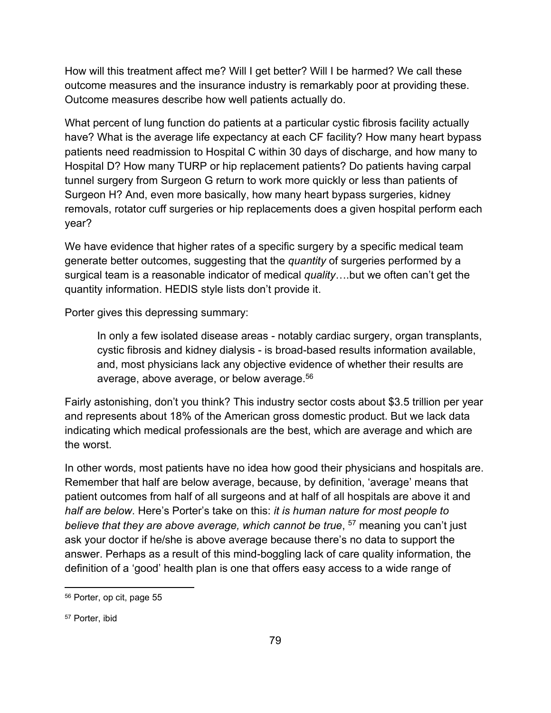How will this treatment affect me? Will I get better? Will I be harmed? We call these outcome measures and the insurance industry is remarkably poor at providing these. Outcome measures describe how well patients actually do.

What percent of lung function do patients at a particular cystic fibrosis facility actually have? What is the average life expectancy at each CF facility? How many heart bypass patients need readmission to Hospital C within 30 days of discharge, and how many to Hospital D? How many TURP or hip replacement patients? Do patients having carpal tunnel surgery from Surgeon G return to work more quickly or less than patients of Surgeon H? And, even more basically, how many heart bypass surgeries, kidney removals, rotator cuff surgeries or hip replacements does a given hospital perform each year?

We have evidence that higher rates of a specific surgery by a specific medical team generate better outcomes, suggesting that the *quantity* of surgeries performed by a surgical team is a reasonable indicator of medical *quality*….but we often can't get the quantity information. HEDIS style lists don't provide it.

Porter gives this depressing summary:

In only a few isolated disease areas - notably cardiac surgery, organ transplants, cystic fibrosis and kidney dialysis - is broad-based results information available, and, most physicians lack any objective evidence of whether their results are average, above average, or below average.<sup>56</sup>

Fairly astonishing, don't you think? This industry sector costs about \$3.5 trillion per year and represents about 18% of the American gross domestic product. But we lack data indicating which medical professionals are the best, which are average and which are the worst.

In other words, most patients have no idea how good their physicians and hospitals are. Remember that half are below average, because, by definition, 'average' means that patient outcomes from half of all surgeons and at half of all hospitals are above it and *half are below*. Here's Porter's take on this: *it is human nature for most people to believe that they are above average, which cannot be true*, <sup>57</sup> meaning you can't just ask your doctor if he/she is above average because there's no data to support the answer. Perhaps as a result of this mind-boggling lack of care quality information, the definition of a 'good' health plan is one that offers easy access to a wide range of

<sup>56</sup> Porter, op cit, page 55

<sup>57</sup> Porter, ibid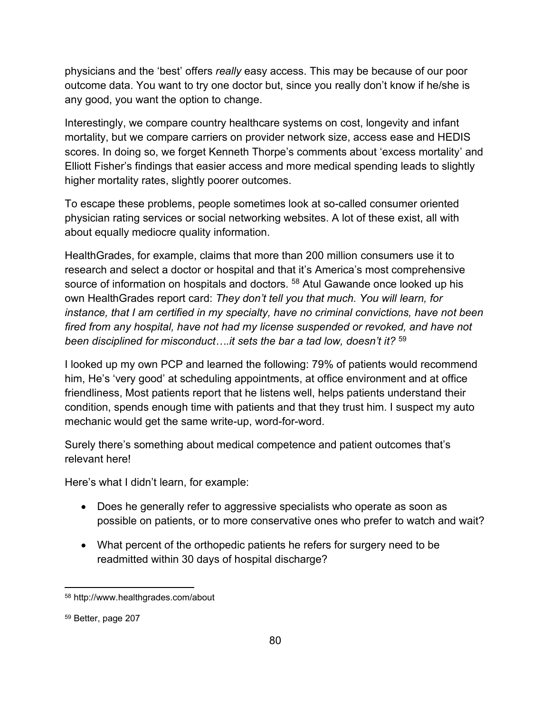physicians and the 'best' offers *really* easy access. This may be because of our poor outcome data. You want to try one doctor but, since you really don't know if he/she is any good, you want the option to change.

Interestingly, we compare country healthcare systems on cost, longevity and infant mortality, but we compare carriers on provider network size, access ease and HEDIS scores. In doing so, we forget Kenneth Thorpe's comments about 'excess mortality' and Elliott Fisher's findings that easier access and more medical spending leads to slightly higher mortality rates, slightly poorer outcomes.

To escape these problems, people sometimes look at so-called consumer oriented physician rating services or social networking websites. A lot of these exist, all with about equally mediocre quality information.

HealthGrades, for example, claims that more than 200 million consumers use it to research and select a doctor or hospital and that it's America's most comprehensive source of information on hospitals and doctors. <sup>58</sup> Atul Gawande once looked up his own HealthGrades report card: *They don't tell you that much. You will learn, for instance, that I am certified in my specialty, have no criminal convictions, have not been fired from any hospital, have not had my license suspended or revoked, and have not been disciplined for misconduct….it sets the bar a tad low, doesn't it?* <sup>59</sup>

I looked up my own PCP and learned the following: 79% of patients would recommend him, He's 'very good' at scheduling appointments, at office environment and at office friendliness, Most patients report that he listens well, helps patients understand their condition, spends enough time with patients and that they trust him. I suspect my auto mechanic would get the same write-up, word-for-word.

Surely there's something about medical competence and patient outcomes that's relevant here!

Here's what I didn't learn, for example:

- Does he generally refer to aggressive specialists who operate as soon as possible on patients, or to more conservative ones who prefer to watch and wait?
- What percent of the orthopedic patients he refers for surgery need to be readmitted within 30 days of hospital discharge?

<sup>58</sup> http://www.healthgrades.com/about

<sup>59</sup> Better, page 207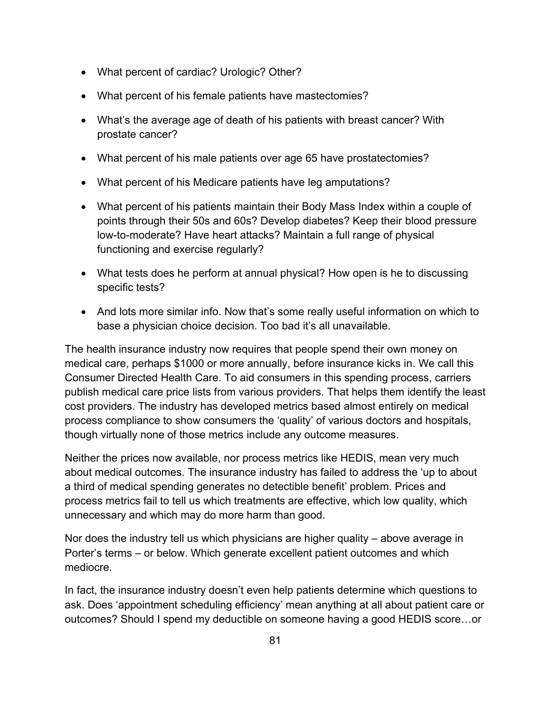- What percent of cardiac? Urologic? Other?
- What percent of his female patients have mastectomies?
- What's the average age of death of his patients with breast cancer? With prostate cancer?
- What percent of his male patients over age 65 have prostatectomies?
- What percent of his Medicare patients have leg amputations?
- What percent of his patients maintain their Body Mass Index within a couple of points through their 50s and 60s? Develop diabetes? Keep their blood pressure low-to-moderate? Have heart attacks? Maintain a full range of physical functioning and exercise regularly?
- What tests does he perform at annual physical? How open is he to discussing specific tests?
- And lots more similar info. Now that's some really useful information on which to base a physician choice decision. Too bad it's all unavailable.

The health insurance industry now requires that people spend their own money on medical care, perhaps \$1000 or more annually, before insurance kicks in. We call this Consumer Directed Health Care. To aid consumers in this spending process, carriers publish medical care price lists from various providers. That helps them identify the least cost providers. The industry has developed metrics based almost entirely on medical process compliance to show consumers the 'quality' of various doctors and hospitals, though virtually none of those metrics include any outcome measures.

Neither the prices now available, nor process metrics like HEDIS, mean very much about medical outcomes. The insurance industry has failed to address the 'up to about a third of medical spending generates no detectible benefit' problem. Prices and process metrics fail to tell us which treatments are effective, which low quality, which unnecessary and which may do more harm than good.

Nor does the industry tell us which physicians are higher quality – above average in Porter's terms – or below. Which generate excellent patient outcomes and which mediocre.

In fact, the insurance industry doesn't even help patients determine which questions to ask. Does 'appointment scheduling efficiency' mean anything at all about patient care or outcomes? Should I spend my deductible on someone having a good HEDIS score…or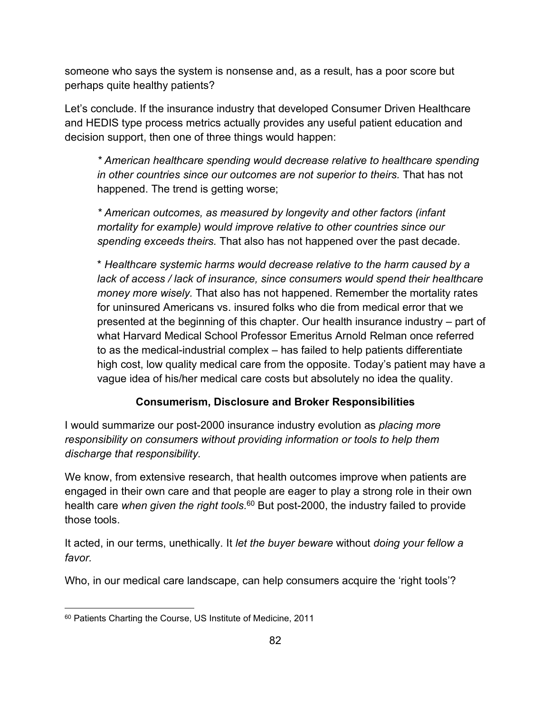someone who says the system is nonsense and, as a result, has a poor score but perhaps quite healthy patients?

Let's conclude. If the insurance industry that developed Consumer Driven Healthcare and HEDIS type process metrics actually provides any useful patient education and decision support, then one of three things would happen:

*\* American healthcare spending would decrease relative to healthcare spending in other countries since our outcomes are not superior to theirs.* That has not happened. The trend is getting worse;

*\* American outcomes, as measured by longevity and other factors (infant mortality for example) would improve relative to other countries since our spending exceeds theirs.* That also has not happened over the past decade.

\* *Healthcare systemic harms would decrease relative to the harm caused by a lack of access / lack of insurance, since consumers would spend their healthcare money more wisely.* That also has not happened. Remember the mortality rates for uninsured Americans vs. insured folks who die from medical error that we presented at the beginning of this chapter. Our health insurance industry – part of what Harvard Medical School Professor Emeritus Arnold Relman once referred to as the medical-industrial complex – has failed to help patients differentiate high cost, low quality medical care from the opposite. Today's patient may have a vague idea of his/her medical care costs but absolutely no idea the quality.

## **Consumerism, Disclosure and Broker Responsibilities**

I would summarize our post-2000 insurance industry evolution as *placing more responsibility on consumers without providing information or tools to help them discharge that responsibility.*

We know, from extensive research, that health outcomes improve when patients are engaged in their own care and that people are eager to play a strong role in their own health care *when given the right tools.* <sup>60</sup> But post-2000, the industry failed to provide those tools.

It acted, in our terms, unethically. It *let the buyer beware* without *doing your fellow a favor.*

Who, in our medical care landscape, can help consumers acquire the 'right tools'?

<sup>60</sup> Patients Charting the Course, US Institute of Medicine, 2011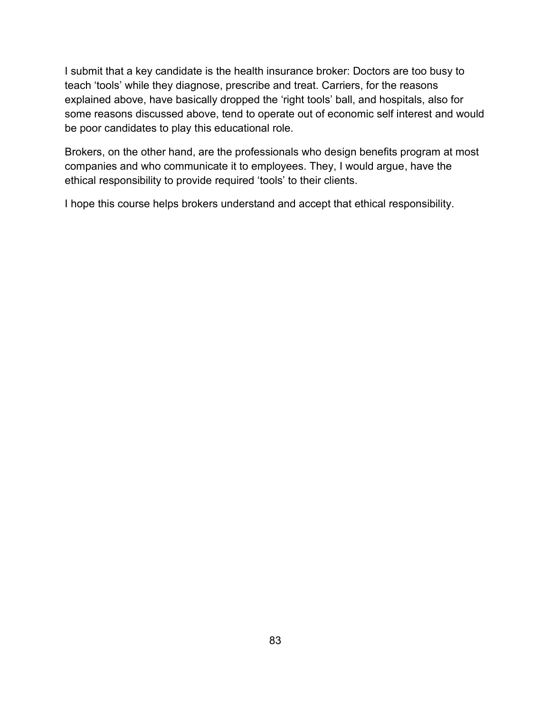I submit that a key candidate is the health insurance broker: Doctors are too busy to teach 'tools' while they diagnose, prescribe and treat. Carriers, for the reasons explained above, have basically dropped the 'right tools' ball, and hospitals, also for some reasons discussed above, tend to operate out of economic self interest and would be poor candidates to play this educational role.

Brokers, on the other hand, are the professionals who design benefits program at most companies and who communicate it to employees. They, I would argue, have the ethical responsibility to provide required 'tools' to their clients.

I hope this course helps brokers understand and accept that ethical responsibility.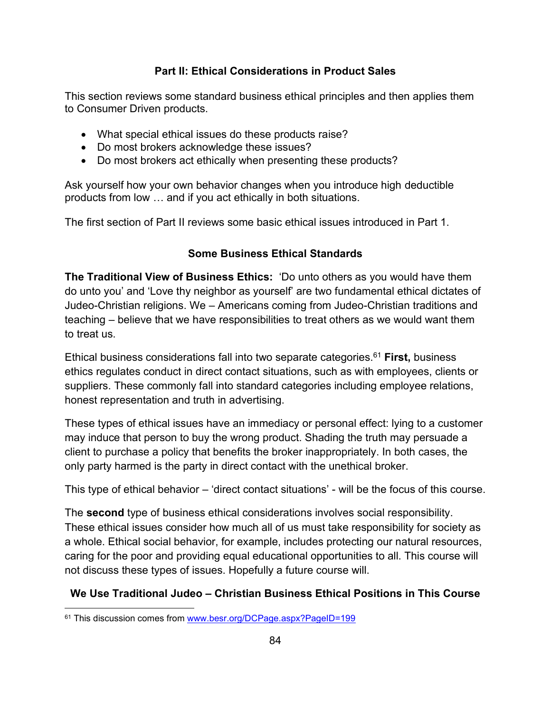## **Part II: Ethical Considerations in Product Sales**

This section reviews some standard business ethical principles and then applies them to Consumer Driven products.

- What special ethical issues do these products raise?
- Do most brokers acknowledge these issues?
- Do most brokers act ethically when presenting these products?

Ask yourself how your own behavior changes when you introduce high deductible products from low … and if you act ethically in both situations.

The first section of Part II reviews some basic ethical issues introduced in Part 1.

### **Some Business Ethical Standards**

**The Traditional View of Business Ethics:** 'Do unto others as you would have them do unto you' and 'Love thy neighbor as yourself' are two fundamental ethical dictates of Judeo-Christian religions. We – Americans coming from Judeo-Christian traditions and teaching – believe that we have responsibilities to treat others as we would want them to treat us.

Ethical business considerations fall into two separate categories.<sup>61</sup> **First,** business ethics regulates conduct in direct contact situations, such as with employees, clients or suppliers. These commonly fall into standard categories including employee relations, honest representation and truth in advertising.

These types of ethical issues have an immediacy or personal effect: lying to a customer may induce that person to buy the wrong product. Shading the truth may persuade a client to purchase a policy that benefits the broker inappropriately. In both cases, the only party harmed is the party in direct contact with the unethical broker.

This type of ethical behavior – 'direct contact situations' - will be the focus of this course.

The **second** type of business ethical considerations involves social responsibility. These ethical issues consider how much all of us must take responsibility for society as a whole. Ethical social behavior, for example, includes protecting our natural resources, caring for the poor and providing equal educational opportunities to all. This course will not discuss these types of issues. Hopefully a future course will.

## **We Use Traditional Judeo – Christian Business Ethical Positions in This Course**

<sup>61</sup> This discussion comes from www.besr.org/DCPage.aspx?PageID=199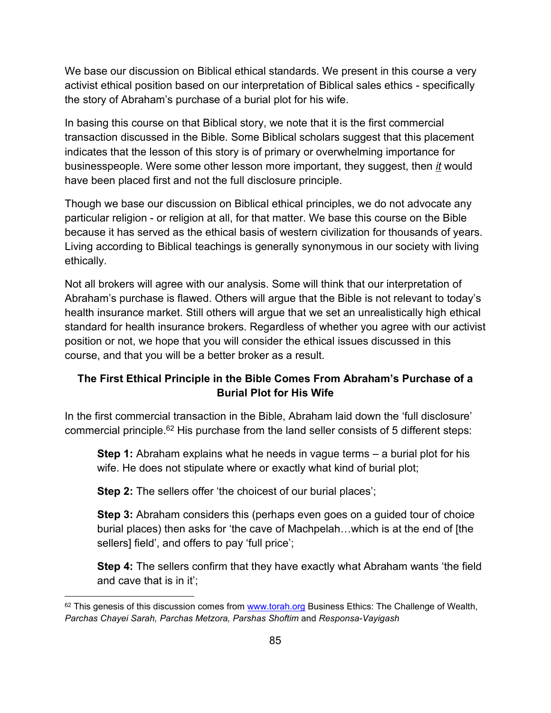We base our discussion on Biblical ethical standards. We present in this course a very activist ethical position based on our interpretation of Biblical sales ethics - specifically the story of Abraham's purchase of a burial plot for his wife.

In basing this course on that Biblical story, we note that it is the first commercial transaction discussed in the Bible. Some Biblical scholars suggest that this placement indicates that the lesson of this story is of primary or overwhelming importance for businesspeople. Were some other lesson more important, they suggest, then *it* would have been placed first and not the full disclosure principle.

Though we base our discussion on Biblical ethical principles, we do not advocate any particular religion - or religion at all, for that matter. We base this course on the Bible because it has served as the ethical basis of western civilization for thousands of years. Living according to Biblical teachings is generally synonymous in our society with living ethically.

Not all brokers will agree with our analysis. Some will think that our interpretation of Abraham's purchase is flawed. Others will argue that the Bible is not relevant to today's health insurance market. Still others will argue that we set an unrealistically high ethical standard for health insurance brokers. Regardless of whether you agree with our activist position or not, we hope that you will consider the ethical issues discussed in this course, and that you will be a better broker as a result.

## **The First Ethical Principle in the Bible Comes From Abraham's Purchase of a Burial Plot for His Wife**

In the first commercial transaction in the Bible, Abraham laid down the 'full disclosure' commercial principle.<sup>62</sup> His purchase from the land seller consists of 5 different steps:

**Step 1:** Abraham explains what he needs in vague terms – a burial plot for his wife. He does not stipulate where or exactly what kind of burial plot;

**Step 2:** The sellers offer 'the choicest of our burial places';

**Step 3:** Abraham considers this (perhaps even goes on a guided tour of choice burial places) then asks for 'the cave of Machpelah…which is at the end of [the sellers] field', and offers to pay 'full price';

**Step 4:** The sellers confirm that they have exactly what Abraham wants 'the field and cave that is in it';

 $62$  This genesis of this discussion comes from [www.torah.org](http://www.torah.org/) Business Ethics: The Challenge of Wealth, *Parchas Chayei Sarah, Parchas Metzora, Parshas Shoftim* and *Responsa-Vayigash*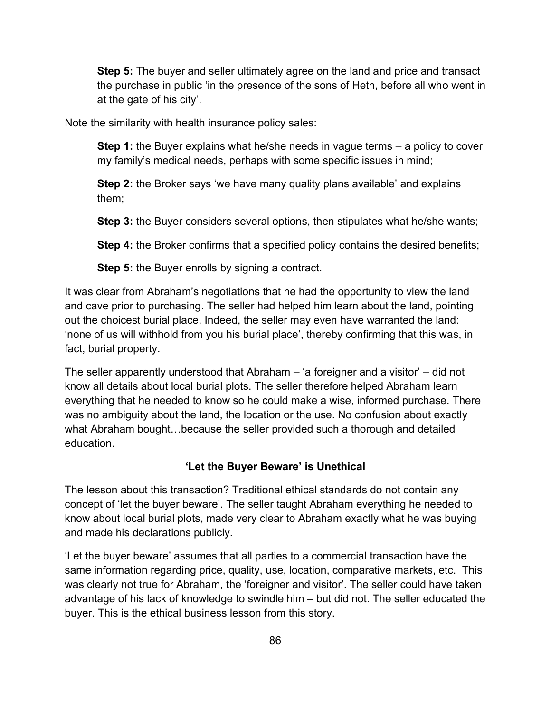**Step 5:** The buyer and seller ultimately agree on the land and price and transact the purchase in public 'in the presence of the sons of Heth, before all who went in at the gate of his city'.

Note the similarity with health insurance policy sales:

**Step 1:** the Buyer explains what he/she needs in vague terms – a policy to cover my family's medical needs, perhaps with some specific issues in mind;

**Step 2:** the Broker says 'we have many quality plans available' and explains them;

**Step 3:** the Buyer considers several options, then stipulates what he/she wants;

**Step 4:** the Broker confirms that a specified policy contains the desired benefits;

**Step 5:** the Buyer enrolls by signing a contract.

It was clear from Abraham's negotiations that he had the opportunity to view the land and cave prior to purchasing. The seller had helped him learn about the land, pointing out the choicest burial place. Indeed, the seller may even have warranted the land: 'none of us will withhold from you his burial place', thereby confirming that this was, in fact, burial property.

The seller apparently understood that Abraham – 'a foreigner and a visitor' – did not know all details about local burial plots. The seller therefore helped Abraham learn everything that he needed to know so he could make a wise, informed purchase. There was no ambiguity about the land, the location or the use. No confusion about exactly what Abraham bought…because the seller provided such a thorough and detailed education.

#### **'Let the Buyer Beware' is Unethical**

The lesson about this transaction? Traditional ethical standards do not contain any concept of 'let the buyer beware'. The seller taught Abraham everything he needed to know about local burial plots, made very clear to Abraham exactly what he was buying and made his declarations publicly.

'Let the buyer beware' assumes that all parties to a commercial transaction have the same information regarding price, quality, use, location, comparative markets, etc. This was clearly not true for Abraham, the 'foreigner and visitor'. The seller could have taken advantage of his lack of knowledge to swindle him – but did not. The seller educated the buyer. This is the ethical business lesson from this story.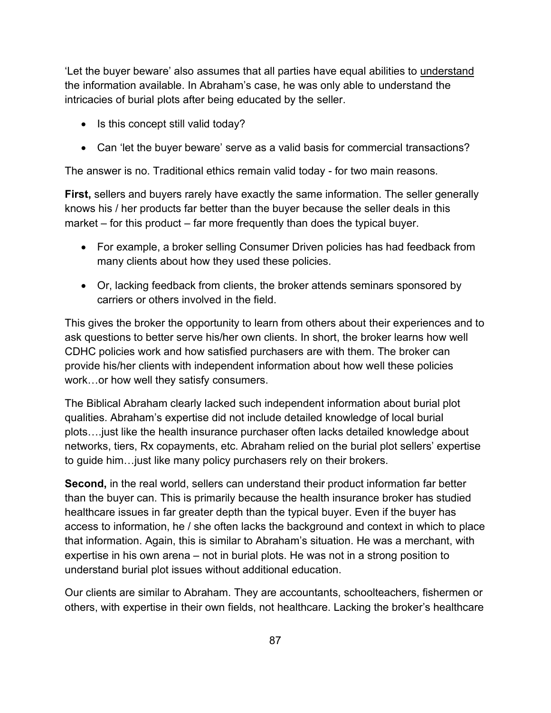'Let the buyer beware' also assumes that all parties have equal abilities to understand the information available. In Abraham's case, he was only able to understand the intricacies of burial plots after being educated by the seller.

- Is this concept still valid today?
- Can 'let the buyer beware' serve as a valid basis for commercial transactions?

The answer is no. Traditional ethics remain valid today - for two main reasons.

**First,** sellers and buyers rarely have exactly the same information. The seller generally knows his / her products far better than the buyer because the seller deals in this market – for this product – far more frequently than does the typical buyer.

- For example, a broker selling Consumer Driven policies has had feedback from many clients about how they used these policies.
- Or, lacking feedback from clients, the broker attends seminars sponsored by carriers or others involved in the field.

This gives the broker the opportunity to learn from others about their experiences and to ask questions to better serve his/her own clients. In short, the broker learns how well CDHC policies work and how satisfied purchasers are with them. The broker can provide his/her clients with independent information about how well these policies work…or how well they satisfy consumers.

The Biblical Abraham clearly lacked such independent information about burial plot qualities. Abraham's expertise did not include detailed knowledge of local burial plots….just like the health insurance purchaser often lacks detailed knowledge about networks, tiers, Rx copayments, etc. Abraham relied on the burial plot sellers' expertise to guide him…just like many policy purchasers rely on their brokers.

**Second,** in the real world, sellers can understand their product information far better than the buyer can. This is primarily because the health insurance broker has studied healthcare issues in far greater depth than the typical buyer. Even if the buyer has access to information, he / she often lacks the background and context in which to place that information. Again, this is similar to Abraham's situation. He was a merchant, with expertise in his own arena – not in burial plots. He was not in a strong position to understand burial plot issues without additional education.

Our clients are similar to Abraham. They are accountants, schoolteachers, fishermen or others, with expertise in their own fields, not healthcare. Lacking the broker's healthcare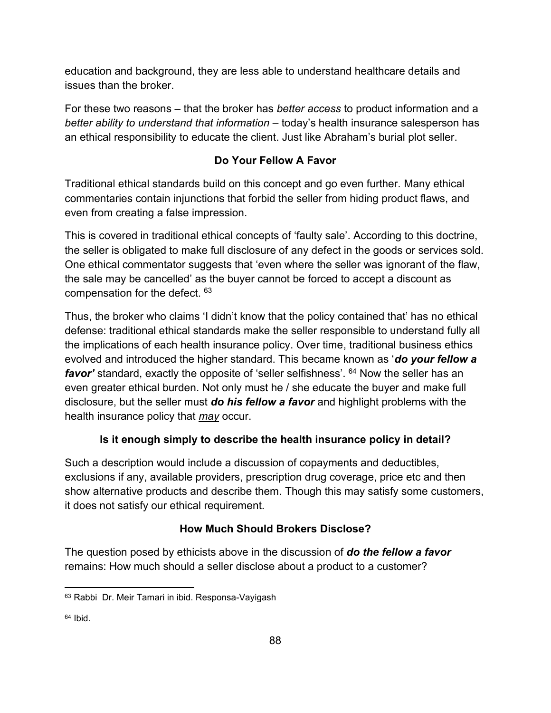education and background, they are less able to understand healthcare details and issues than the broker.

For these two reasons – that the broker has *better access* to product information and a *better ability to understand that information* – today's health insurance salesperson has an ethical responsibility to educate the client. Just like Abraham's burial plot seller.

# **Do Your Fellow A Favor**

Traditional ethical standards build on this concept and go even further. Many ethical commentaries contain injunctions that forbid the seller from hiding product flaws, and even from creating a false impression.

This is covered in traditional ethical concepts of 'faulty sale'. According to this doctrine, the seller is obligated to make full disclosure of any defect in the goods or services sold. One ethical commentator suggests that 'even where the seller was ignorant of the flaw, the sale may be cancelled' as the buyer cannot be forced to accept a discount as compensation for the defect. <sup>63</sup>

Thus, the broker who claims 'I didn't know that the policy contained that' has no ethical defense: traditional ethical standards make the seller responsible to understand fully all the implications of each health insurance policy. Over time, traditional business ethics evolved and introduced the higher standard. This became known as '*do your fellow a favor'* standard, exactly the opposite of 'seller selfishness'. <sup>64</sup> Now the seller has an even greater ethical burden. Not only must he / she educate the buyer and make full disclosure, but the seller must *do his fellow a favor* and highlight problems with the health insurance policy that *may* occur.

# **Is it enough simply to describe the health insurance policy in detail?**

Such a description would include a discussion of copayments and deductibles, exclusions if any, available providers, prescription drug coverage, price etc and then show alternative products and describe them. Though this may satisfy some customers, it does not satisfy our ethical requirement.

# **How Much Should Brokers Disclose?**

The question posed by ethicists above in the discussion of *do the fellow a favor* remains: How much should a seller disclose about a product to a customer?

<sup>63</sup> Rabbi Dr. Meir Tamari in ibid. Responsa-Vayigash

 $64$  Ibid.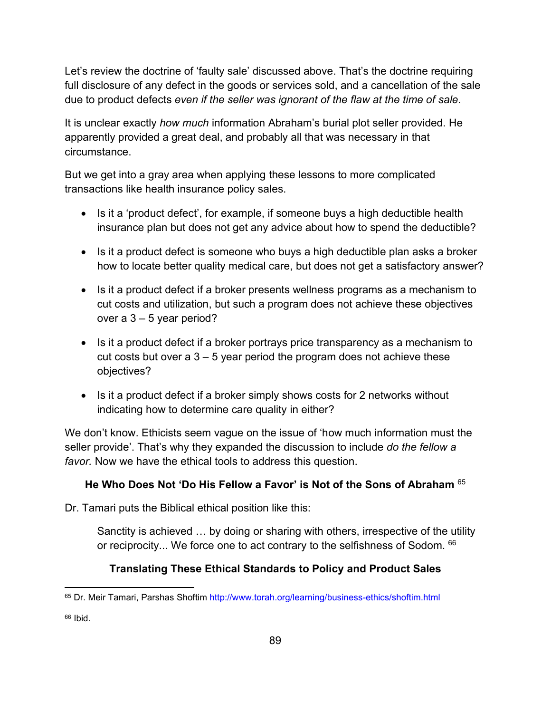Let's review the doctrine of 'faulty sale' discussed above. That's the doctrine requiring full disclosure of any defect in the goods or services sold, and a cancellation of the sale due to product defects *even if the seller was ignorant of the flaw at the time of sale*.

It is unclear exactly *how much* information Abraham's burial plot seller provided. He apparently provided a great deal, and probably all that was necessary in that circumstance.

But we get into a gray area when applying these lessons to more complicated transactions like health insurance policy sales.

- Is it a 'product defect', for example, if someone buys a high deductible health insurance plan but does not get any advice about how to spend the deductible?
- Is it a product defect is someone who buys a high deductible plan asks a broker how to locate better quality medical care, but does not get a satisfactory answer?
- Is it a product defect if a broker presents wellness programs as a mechanism to cut costs and utilization, but such a program does not achieve these objectives over a 3 – 5 year period?
- Is it a product defect if a broker portrays price transparency as a mechanism to cut costs but over a  $3 - 5$  year period the program does not achieve these objectives?
- Is it a product defect if a broker simply shows costs for 2 networks without indicating how to determine care quality in either?

We don't know. Ethicists seem vague on the issue of 'how much information must the seller provide'. That's why they expanded the discussion to include *do the fellow a favor.* Now we have the ethical tools to address this question.

# **He Who Does Not 'Do His Fellow a Favor' is Not of the Sons of Abraham** <sup>65</sup>

Dr. Tamari puts the Biblical ethical position like this:

Sanctity is achieved … by doing or sharing with others, irrespective of the utility or reciprocity... We force one to act contrary to the selfishness of Sodom.  $66$ 

# **Translating These Ethical Standards to Policy and Product Sales**

<sup>65</sup> Dr. Meir Tamari, Parshas Shoftim<http://www.torah.org/learning/business-ethics/shoftim.html>

<sup>66</sup> Ibid.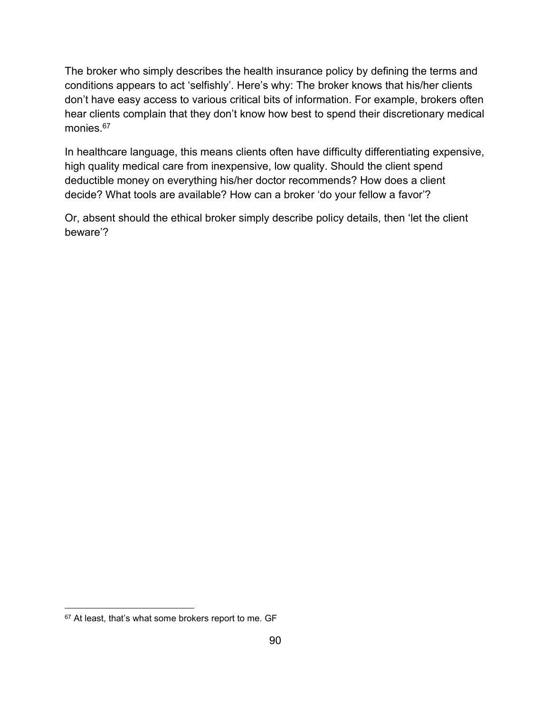The broker who simply describes the health insurance policy by defining the terms and conditions appears to act 'selfishly'. Here's why: The broker knows that his/her clients don't have easy access to various critical bits of information. For example, brokers often hear clients complain that they don't know how best to spend their discretionary medical monies.<sup>67</sup>

In healthcare language, this means clients often have difficulty differentiating expensive, high quality medical care from inexpensive, low quality. Should the client spend deductible money on everything his/her doctor recommends? How does a client decide? What tools are available? How can a broker 'do your fellow a favor'?

Or, absent should the ethical broker simply describe policy details, then 'let the client beware'?

<sup>67</sup> At least, that's what some brokers report to me. GF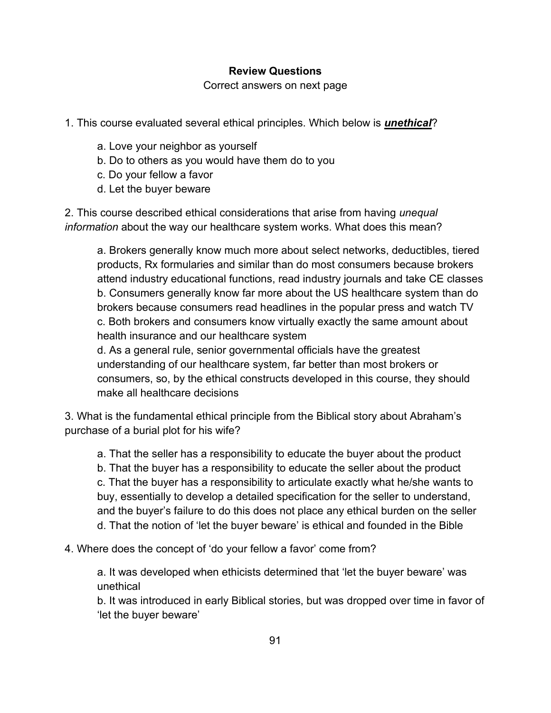### **Review Questions**

Correct answers on next page

1. This course evaluated several ethical principles. Which below is *unethical*?

- a. Love your neighbor as yourself
- b. Do to others as you would have them do to you
- c. Do your fellow a favor
- d. Let the buyer beware

2. This course described ethical considerations that arise from having *unequal information* about the way our healthcare system works. What does this mean?

a. Brokers generally know much more about select networks, deductibles, tiered products, Rx formularies and similar than do most consumers because brokers attend industry educational functions, read industry journals and take CE classes b. Consumers generally know far more about the US healthcare system than do brokers because consumers read headlines in the popular press and watch TV c. Both brokers and consumers know virtually exactly the same amount about health insurance and our healthcare system

d. As a general rule, senior governmental officials have the greatest understanding of our healthcare system, far better than most brokers or consumers, so, by the ethical constructs developed in this course, they should make all healthcare decisions

3. What is the fundamental ethical principle from the Biblical story about Abraham's purchase of a burial plot for his wife?

a. That the seller has a responsibility to educate the buyer about the product b. That the buyer has a responsibility to educate the seller about the product c. That the buyer has a responsibility to articulate exactly what he/she wants to buy, essentially to develop a detailed specification for the seller to understand, and the buyer's failure to do this does not place any ethical burden on the seller d. That the notion of 'let the buyer beware' is ethical and founded in the Bible

4. Where does the concept of 'do your fellow a favor' come from?

a. It was developed when ethicists determined that 'let the buyer beware' was unethical

b. It was introduced in early Biblical stories, but was dropped over time in favor of 'let the buyer beware'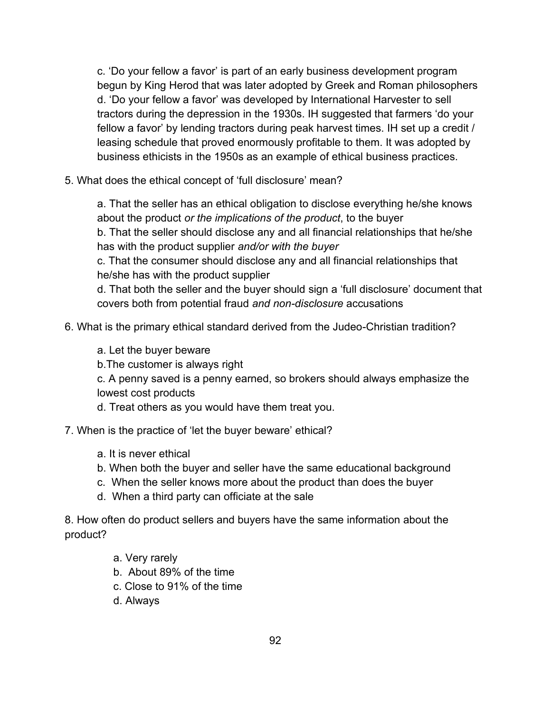c. 'Do your fellow a favor' is part of an early business development program begun by King Herod that was later adopted by Greek and Roman philosophers d. 'Do your fellow a favor' was developed by International Harvester to sell tractors during the depression in the 1930s. IH suggested that farmers 'do your fellow a favor' by lending tractors during peak harvest times. IH set up a credit / leasing schedule that proved enormously profitable to them. It was adopted by business ethicists in the 1950s as an example of ethical business practices.

5. What does the ethical concept of 'full disclosure' mean?

a. That the seller has an ethical obligation to disclose everything he/she knows about the product *or the implications of the product*, to the buyer

b. That the seller should disclose any and all financial relationships that he/she has with the product supplier *and/or with the buyer*

c. That the consumer should disclose any and all financial relationships that he/she has with the product supplier

d. That both the seller and the buyer should sign a 'full disclosure' document that covers both from potential fraud *and non-disclosure* accusations

- 6. What is the primary ethical standard derived from the Judeo-Christian tradition?
	- a. Let the buyer beware
	- b.The customer is always right

c. A penny saved is a penny earned, so brokers should always emphasize the lowest cost products

- d. Treat others as you would have them treat you.
- 7. When is the practice of 'let the buyer beware' ethical?
	- a. It is never ethical
	- b. When both the buyer and seller have the same educational background
	- c. When the seller knows more about the product than does the buyer
	- d. When a third party can officiate at the sale

8. How often do product sellers and buyers have the same information about the product?

- a. Very rarely
- b.About 89% of the time
- c. Close to 91% of the time
- d. Always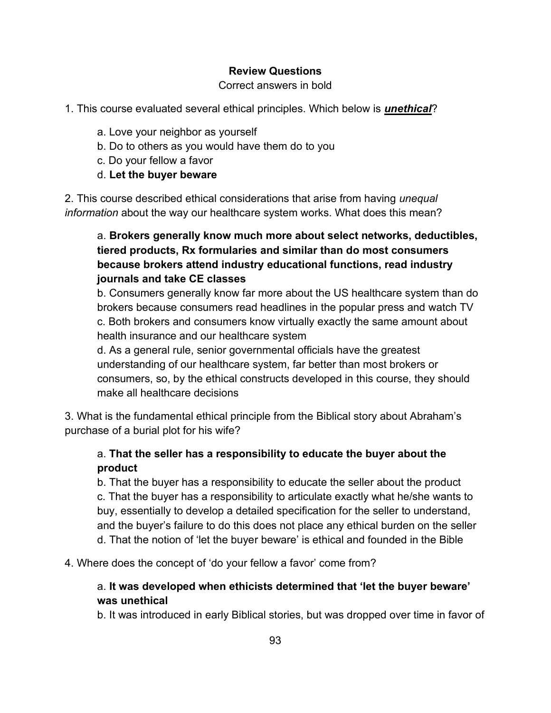## **Review Questions**

### Correct answers in bold

## 1. This course evaluated several ethical principles. Which below is *unethical*?

- a. Love your neighbor as yourself
- b. Do to others as you would have them do to you
- c. Do your fellow a favor
- d. **Let the buyer beware**

2. This course described ethical considerations that arise from having *unequal information* about the way our healthcare system works. What does this mean?

# a. **Brokers generally know much more about select networks, deductibles, tiered products, Rx formularies and similar than do most consumers because brokers attend industry educational functions, read industry journals and take CE classes**

b. Consumers generally know far more about the US healthcare system than do brokers because consumers read headlines in the popular press and watch TV c. Both brokers and consumers know virtually exactly the same amount about health insurance and our healthcare system

d. As a general rule, senior governmental officials have the greatest understanding of our healthcare system, far better than most brokers or consumers, so, by the ethical constructs developed in this course, they should make all healthcare decisions

3. What is the fundamental ethical principle from the Biblical story about Abraham's purchase of a burial plot for his wife?

# a. **That the seller has a responsibility to educate the buyer about the product**

b. That the buyer has a responsibility to educate the seller about the product c. That the buyer has a responsibility to articulate exactly what he/she wants to buy, essentially to develop a detailed specification for the seller to understand, and the buyer's failure to do this does not place any ethical burden on the seller d. That the notion of 'let the buyer beware' is ethical and founded in the Bible

4. Where does the concept of 'do your fellow a favor' come from?

## a. **It was developed when ethicists determined that 'let the buyer beware' was unethical**

b. It was introduced in early Biblical stories, but was dropped over time in favor of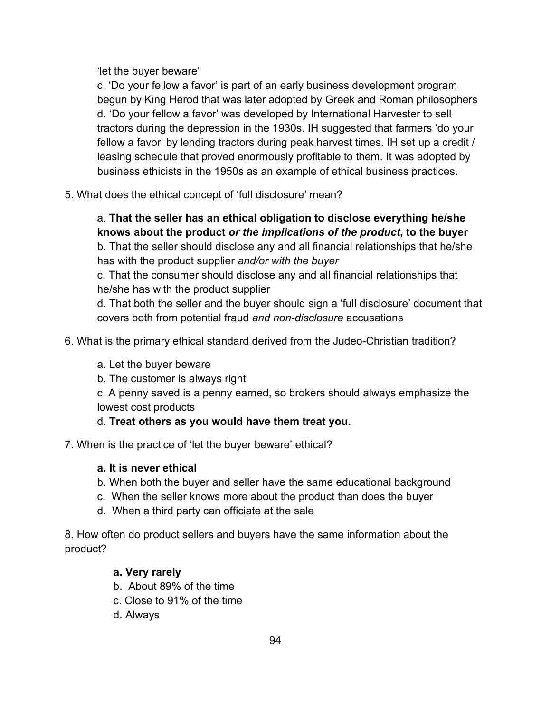'let the buyer beware'

c. 'Do your fellow a favor' is part of an early business development program begun by King Herod that was later adopted by Greek and Roman philosophers d. 'Do your fellow a favor' was developed by International Harvester to sell tractors during the depression in the 1930s. IH suggested that farmers 'do your fellow a favor' by lending tractors during peak harvest times. IH set up a credit / leasing schedule that proved enormously profitable to them. It was adopted by business ethicists in the 1950s as an example of ethical business practices.

5. What does the ethical concept of 'full disclosure' mean?

# a. **That the seller has an ethical obligation to disclose everything he/she knows about the product** *or the implications of the product***, to the buyer**

b. That the seller should disclose any and all financial relationships that he/she has with the product supplier *and/or with the buyer*

c. That the consumer should disclose any and all financial relationships that he/she has with the product supplier

d. That both the seller and the buyer should sign a 'full disclosure' document that covers both from potential fraud *and non-disclosure* accusations

- 6. What is the primary ethical standard derived from the Judeo-Christian tradition?
	- a. Let the buyer beware
	- b. The customer is always right

c. A penny saved is a penny earned, so brokers should always emphasize the lowest cost products

## d. **Treat others as you would have them treat you.**

7. When is the practice of 'let the buyer beware' ethical?

## **a. It is never ethical**

- b. When both the buyer and seller have the same educational background
- c. When the seller knows more about the product than does the buyer
- d. When a third party can officiate at the sale

8. How often do product sellers and buyers have the same information about the product?

## **a. Very rarely**

- b. About 89% of the time
- c. Close to 91% of the time
- d. Always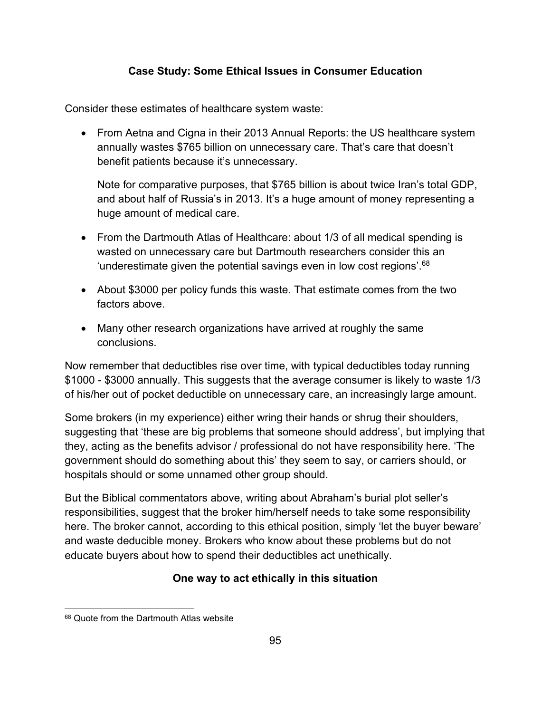## **Case Study: Some Ethical Issues in Consumer Education**

Consider these estimates of healthcare system waste:

• From Aetna and Cigna in their 2013 Annual Reports: the US healthcare system annually wastes \$765 billion on unnecessary care. That's care that doesn't benefit patients because it's unnecessary.

Note for comparative purposes, that \$765 billion is about twice Iran's total GDP, and about half of Russia's in 2013. It's a huge amount of money representing a huge amount of medical care.

- From the Dartmouth Atlas of Healthcare: about 1/3 of all medical spending is wasted on unnecessary care but Dartmouth researchers consider this an 'underestimate given the potential savings even in low cost regions'. $68$
- About \$3000 per policy funds this waste. That estimate comes from the two factors above.
- Many other research organizations have arrived at roughly the same conclusions.

Now remember that deductibles rise over time, with typical deductibles today running \$1000 - \$3000 annually. This suggests that the average consumer is likely to waste 1/3 of his/her out of pocket deductible on unnecessary care, an increasingly large amount.

Some brokers (in my experience) either wring their hands or shrug their shoulders, suggesting that 'these are big problems that someone should address', but implying that they, acting as the benefits advisor / professional do not have responsibility here. 'The government should do something about this' they seem to say, or carriers should, or hospitals should or some unnamed other group should.

But the Biblical commentators above, writing about Abraham's burial plot seller's responsibilities, suggest that the broker him/herself needs to take some responsibility here. The broker cannot, according to this ethical position, simply 'let the buyer beware' and waste deducible money. Brokers who know about these problems but do not educate buyers about how to spend their deductibles act unethically.

## **One way to act ethically in this situation**

<sup>68</sup> Quote from the Dartmouth Atlas website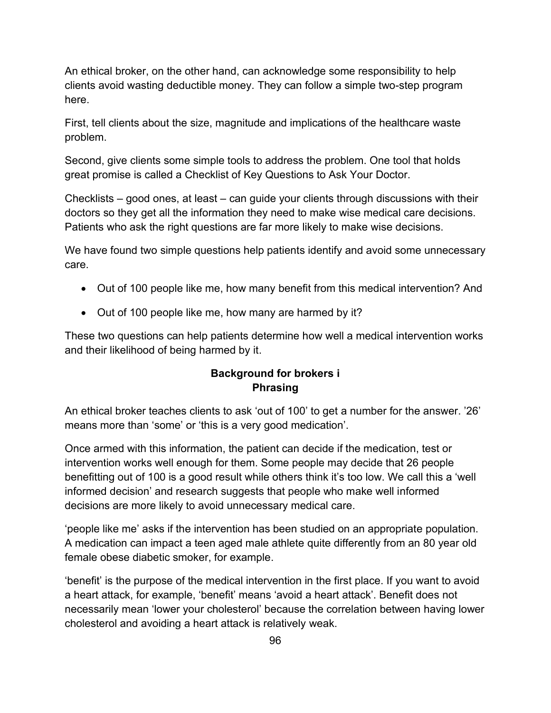An ethical broker, on the other hand, can acknowledge some responsibility to help clients avoid wasting deductible money. They can follow a simple two-step program here.

First, tell clients about the size, magnitude and implications of the healthcare waste problem.

Second, give clients some simple tools to address the problem. One tool that holds great promise is called a Checklist of Key Questions to Ask Your Doctor.

Checklists – good ones, at least – can guide your clients through discussions with their doctors so they get all the information they need to make wise medical care decisions. Patients who ask the right questions are far more likely to make wise decisions.

We have found two simple questions help patients identify and avoid some unnecessary care.

- Out of 100 people like me, how many benefit from this medical intervention? And
- Out of 100 people like me, how many are harmed by it?

These two questions can help patients determine how well a medical intervention works and their likelihood of being harmed by it.

## **Background for brokers i Phrasing**

An ethical broker teaches clients to ask 'out of 100' to get a number for the answer. '26' means more than 'some' or 'this is a very good medication'.

Once armed with this information, the patient can decide if the medication, test or intervention works well enough for them. Some people may decide that 26 people benefitting out of 100 is a good result while others think it's too low. We call this a 'well informed decision' and research suggests that people who make well informed decisions are more likely to avoid unnecessary medical care.

'people like me' asks if the intervention has been studied on an appropriate population. A medication can impact a teen aged male athlete quite differently from an 80 year old female obese diabetic smoker, for example.

'benefit' is the purpose of the medical intervention in the first place. If you want to avoid a heart attack, for example, 'benefit' means 'avoid a heart attack'. Benefit does not necessarily mean 'lower your cholesterol' because the correlation between having lower cholesterol and avoiding a heart attack is relatively weak.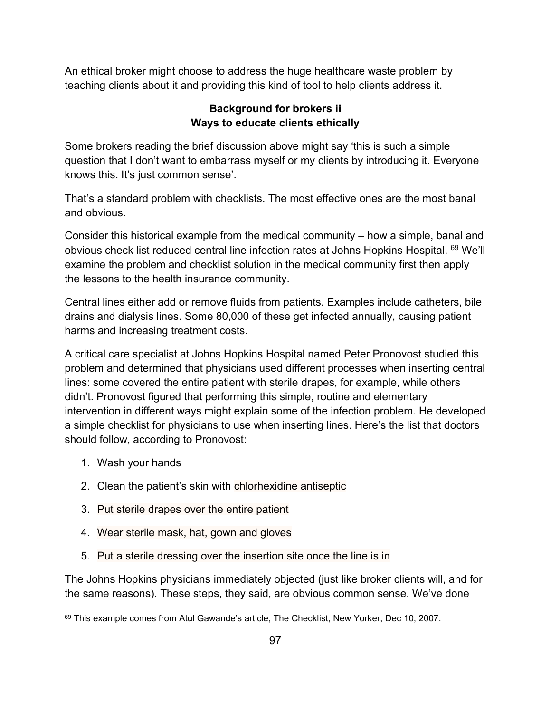An ethical broker might choose to address the huge healthcare waste problem by teaching clients about it and providing this kind of tool to help clients address it.

## **Background for brokers ii Ways to educate clients ethically**

Some brokers reading the brief discussion above might say 'this is such a simple question that I don't want to embarrass myself or my clients by introducing it. Everyone knows this. It's just common sense'.

That's a standard problem with checklists. The most effective ones are the most banal and obvious.

Consider this historical example from the medical community – how a simple, banal and obvious check list reduced central line infection rates at Johns Hopkins Hospital. <sup>69</sup> We'll examine the problem and checklist solution in the medical community first then apply the lessons to the health insurance community.

Central lines either add or remove fluids from patients. Examples include catheters, bile drains and dialysis lines. Some 80,000 of these get infected annually, causing patient harms and increasing treatment costs.

A critical care specialist at Johns Hopkins Hospital named Peter Pronovost studied this problem and determined that physicians used different processes when inserting central lines: some covered the entire patient with sterile drapes, for example, while others didn't. Pronovost figured that performing this simple, routine and elementary intervention in different ways might explain some of the infection problem. He developed a simple checklist for physicians to use when inserting lines. Here's the list that doctors should follow, according to Pronovost:

- 1. Wash your hands
- 2. Clean the patient's skin with chlorhexidine antiseptic
- 3. Put sterile drapes over the entire patient
- 4. Wear sterile mask, hat, gown and gloves
- 5. Put a sterile dressing over the insertion site once the line is in

The Johns Hopkins physicians immediately objected (just like broker clients will, and for the same reasons). These steps, they said, are obvious common sense. We've done

<sup>69</sup> This example comes from Atul Gawande's article, The Checklist, New Yorker, Dec 10, 2007.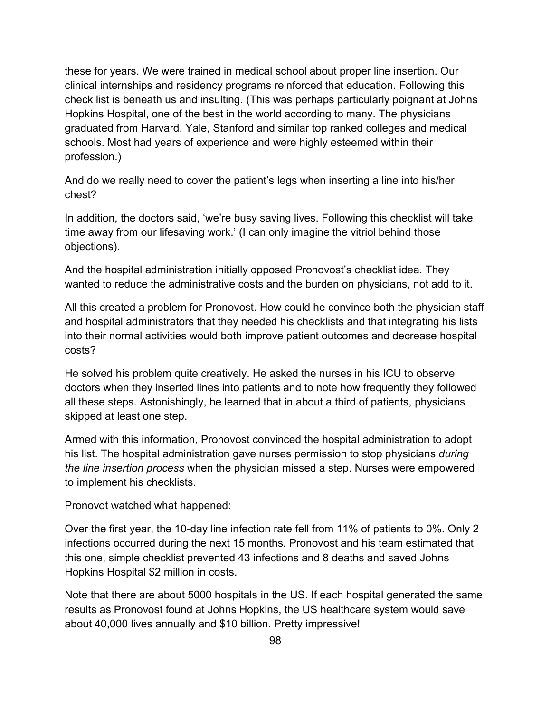these for years. We were trained in medical school about proper line insertion. Our clinical internships and residency programs reinforced that education. Following this check list is beneath us and insulting. (This was perhaps particularly poignant at Johns Hopkins Hospital, one of the best in the world according to many. The physicians graduated from Harvard, Yale, Stanford and similar top ranked colleges and medical schools. Most had years of experience and were highly esteemed within their profession.)

And do we really need to cover the patient's legs when inserting a line into his/her chest?

In addition, the doctors said, 'we're busy saving lives. Following this checklist will take time away from our lifesaving work.' (I can only imagine the vitriol behind those objections).

And the hospital administration initially opposed Pronovost's checklist idea. They wanted to reduce the administrative costs and the burden on physicians, not add to it.

All this created a problem for Pronovost. How could he convince both the physician staff and hospital administrators that they needed his checklists and that integrating his lists into their normal activities would both improve patient outcomes and decrease hospital costs?

He solved his problem quite creatively. He asked the nurses in his ICU to observe doctors when they inserted lines into patients and to note how frequently they followed all these steps. Astonishingly, he learned that in about a third of patients, physicians skipped at least one step.

Armed with this information, Pronovost convinced the hospital administration to adopt his list. The hospital administration gave nurses permission to stop physicians *during the line insertion process* when the physician missed a step. Nurses were empowered to implement his checklists.

Pronovot watched what happened:

Over the first year, the 10-day line infection rate fell from 11% of patients to 0%. Only 2 infections occurred during the next 15 months. Pronovost and his team estimated that this one, simple checklist prevented 43 infections and 8 deaths and saved Johns Hopkins Hospital \$2 million in costs.

Note that there are about 5000 hospitals in the US. If each hospital generated the same results as Pronovost found at Johns Hopkins, the US healthcare system would save about 40,000 lives annually and \$10 billion. Pretty impressive!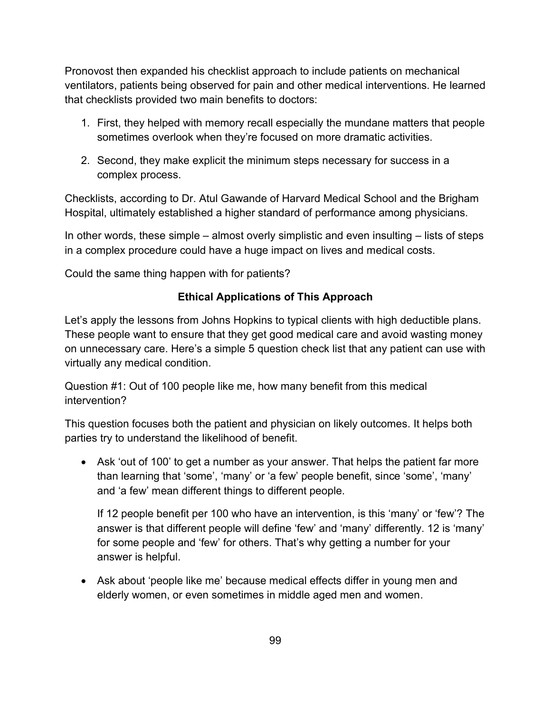Pronovost then expanded his checklist approach to include patients on mechanical ventilators, patients being observed for pain and other medical interventions. He learned that checklists provided two main benefits to doctors:

- 1. First, they helped with memory recall especially the mundane matters that people sometimes overlook when they're focused on more dramatic activities.
- 2. Second, they make explicit the minimum steps necessary for success in a complex process.

Checklists, according to Dr. Atul Gawande of Harvard Medical School and the Brigham Hospital, ultimately established a higher standard of performance among physicians.

In other words, these simple – almost overly simplistic and even insulting – lists of steps in a complex procedure could have a huge impact on lives and medical costs.

Could the same thing happen with for patients?

# **Ethical Applications of This Approach**

Let's apply the lessons from Johns Hopkins to typical clients with high deductible plans. These people want to ensure that they get good medical care and avoid wasting money on unnecessary care. Here's a simple 5 question check list that any patient can use with virtually any medical condition.

Question #1: Out of 100 people like me, how many benefit from this medical intervention?

This question focuses both the patient and physician on likely outcomes. It helps both parties try to understand the likelihood of benefit.

• Ask 'out of 100' to get a number as your answer. That helps the patient far more than learning that 'some', 'many' or 'a few' people benefit, since 'some', 'many' and 'a few' mean different things to different people.

If 12 people benefit per 100 who have an intervention, is this 'many' or 'few'? The answer is that different people will define 'few' and 'many' differently. 12 is 'many' for some people and 'few' for others. That's why getting a number for your answer is helpful.

• Ask about 'people like me' because medical effects differ in young men and elderly women, or even sometimes in middle aged men and women.